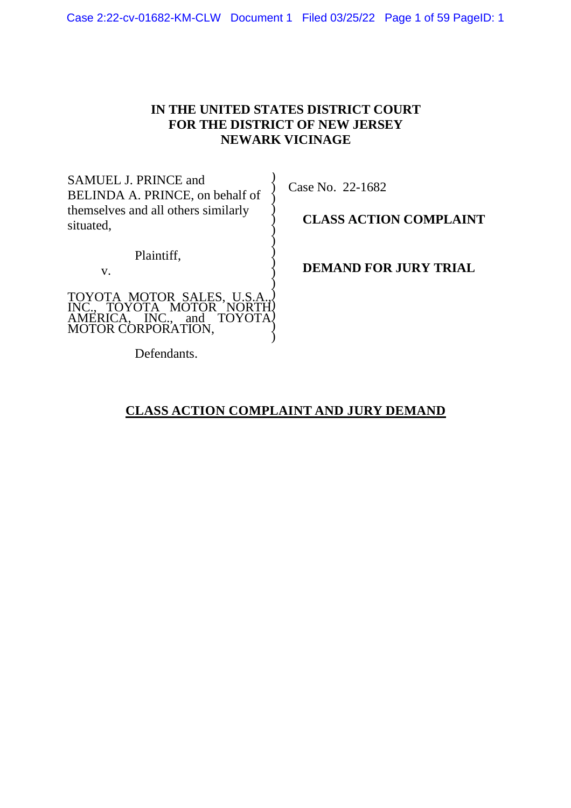# **IN THE UNITED STATES DISTRICT COURT FOR THE DISTRICT OF NEW JERSEY NEWARK VICINAGE**

) ) ) ) ) ) ) ) ) )

SAMUEL J. PRINCE and BELINDA A. PRINCE, on behalf of themselves and all others similarly situated,

Plaintiff,

v.

TOYOTA MOTOR SALES, U.S.A., INC., TOYOTA MOTOR NORTH AMERICA, INC., and TOYOTA MOTOR CORPORATION, ) ) ) ) ) ) Case No. 22-1682

**CLASS ACTION COMPLAINT**

**DEMAND FOR JURY TRIAL**

Defendants.

# **CLASS ACTION COMPLAINT AND JURY DEMAND**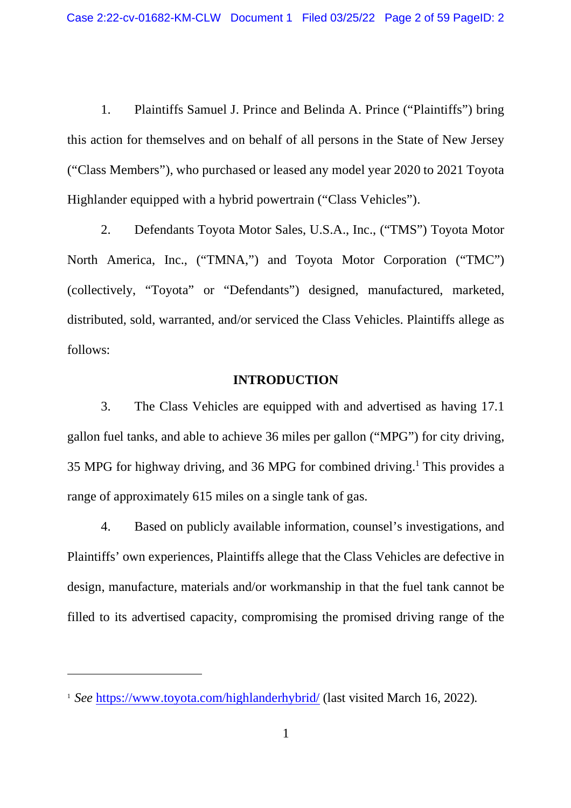1. Plaintiffs Samuel J. Prince and Belinda A. Prince ("Plaintiffs") bring this action for themselves and on behalf of all persons in the State of New Jersey ("Class Members"), who purchased or leased any model year 2020 to 2021 Toyota Highlander equipped with a hybrid powertrain ("Class Vehicles").

2. Defendants Toyota Motor Sales, U.S.A., Inc., ("TMS") Toyota Motor North America, Inc., ("TMNA,") and Toyota Motor Corporation ("TMC") (collectively, "Toyota" or "Defendants") designed, manufactured, marketed, distributed, sold, warranted, and/or serviced the Class Vehicles. Plaintiffs allege as follows:

#### **INTRODUCTION**

3. The Class Vehicles are equipped with and advertised as having 17.1 gallon fuel tanks, and able to achieve 36 miles per gallon ("MPG") for city driving, 35 MPG for highway driving, and 36 MPG for combined driving.<sup>1</sup> This provides a range of approximately 615 miles on a single tank of gas.

4. Based on publicly available information, counsel's investigations, and Plaintiffs' own experiences, Plaintiffs allege that the Class Vehicles are defective in design, manufacture, materials and/or workmanship in that the fuel tank cannot be filled to its advertised capacity, compromising the promised driving range of the

<sup>1</sup> *See* https://www.toyota.com/highlanderhybrid/ (last visited March 16, 2022)*.*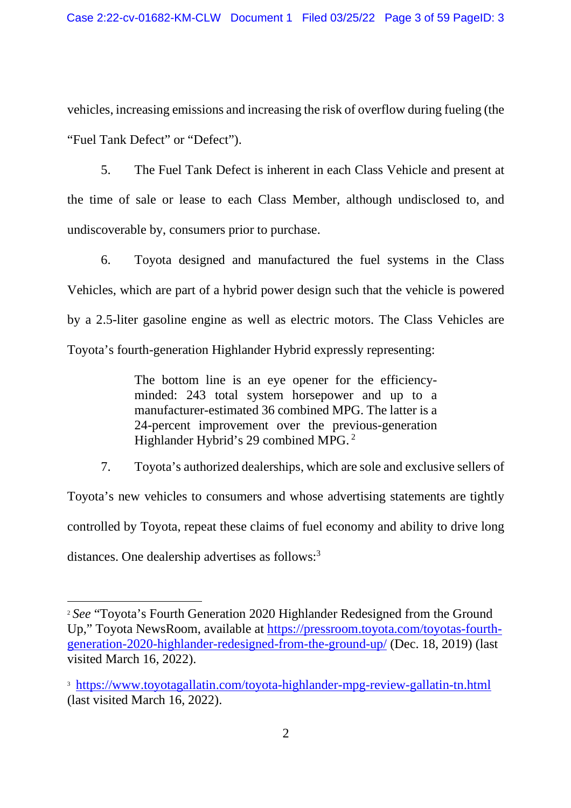vehicles, increasing emissions and increasing the risk of overflow during fueling (the "Fuel Tank Defect" or "Defect").

5. The Fuel Tank Defect is inherent in each Class Vehicle and present at the time of sale or lease to each Class Member, although undisclosed to, and undiscoverable by, consumers prior to purchase.

6. Toyota designed and manufactured the fuel systems in the Class Vehicles, which are part of a hybrid power design such that the vehicle is powered by a 2.5-liter gasoline engine as well as electric motors. The Class Vehicles are Toyota's fourth-generation Highlander Hybrid expressly representing:

> The bottom line is an eye opener for the efficiencyminded: 243 total system horsepower and up to a manufacturer-estimated 36 combined MPG. The latter is a 24-percent improvement over the previous-generation Highlander Hybrid's 29 combined MPG. <sup>2</sup>

7. Toyota's authorized dealerships, which are sole and exclusive sellers of Toyota's new vehicles to consumers and whose advertising statements are tightly controlled by Toyota, repeat these claims of fuel economy and ability to drive long distances. One dealership advertises as follows:<sup>3</sup>

<sup>2</sup> *See* "Toyota's Fourth Generation 2020 Highlander Redesigned from the Ground Up," Toyota NewsRoom, available at https://pressroom.toyota.com/toyotas-fourthgeneration-2020-highlander-redesigned-from-the-ground-up/ (Dec. 18, 2019) (last visited March 16, 2022).

<sup>3</sup> https://www.toyotagallatin.com/toyota-highlander-mpg-review-gallatin-tn.html (last visited March 16, 2022).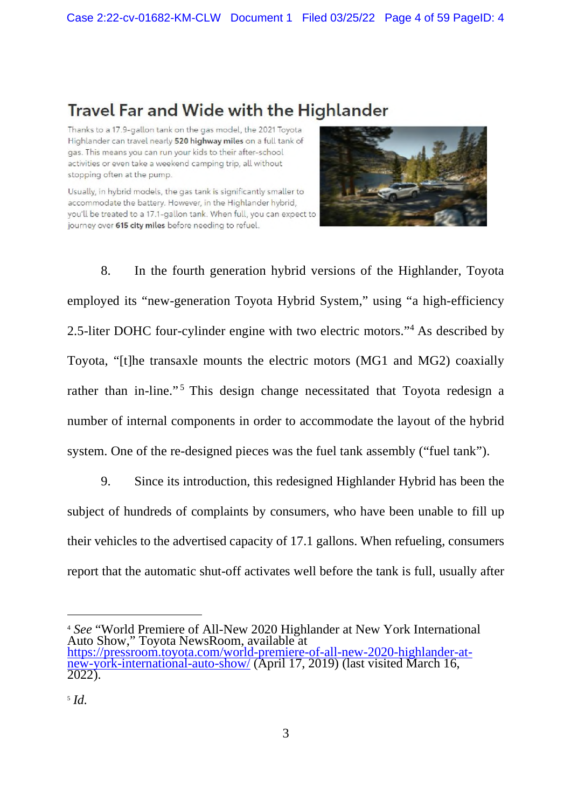# **Travel Far and Wide with the Highlander**

Thanks to a 17.9-gallon tank on the gas model, the 2021 Toyota Highlander can travel nearly 520 highway miles on a full tank of gas. This means you can run your kids to their after-school activities or even take a weekend camping trip, all without stopping often at the pump.

Usually, in hybrid models, the gas tank is significantly smaller to accommodate the battery. However, in the Highlander hybrid, you'll be treated to a 17.1-gallon tank. When full, you can expect to journey over 615 city miles before needing to refuel.



8. In the fourth generation hybrid versions of the Highlander, Toyota employed its "new-generation Toyota Hybrid System," using "a high-efficiency 2.5-liter DOHC four-cylinder engine with two electric motors."<sup>4</sup> As described by Toyota, "[t]he transaxle mounts the electric motors (MG1 and MG2) coaxially rather than in-line."<sup>5</sup> This design change necessitated that Toyota redesign a number of internal components in order to accommodate the layout of the hybrid system. One of the re-designed pieces was the fuel tank assembly ("fuel tank").

9. Since its introduction, this redesigned Highlander Hybrid has been the subject of hundreds of complaints by consumers, who have been unable to fill up their vehicles to the advertised capacity of 17.1 gallons. When refueling, consumers report that the automatic shut-off activates well before the tank is full, usually after

<sup>4</sup> *See* "World Premiere of All-New 2020 Highlander at New York International Auto Show," Toyota NewsRoom, available at https://pressroom.toyota.com/world-premiere-of-all-new-2020-highlander-atnew-york-international-auto-show/ (April 17, 2019) (last visited March 16, 2022).

<sup>5</sup> *Id*.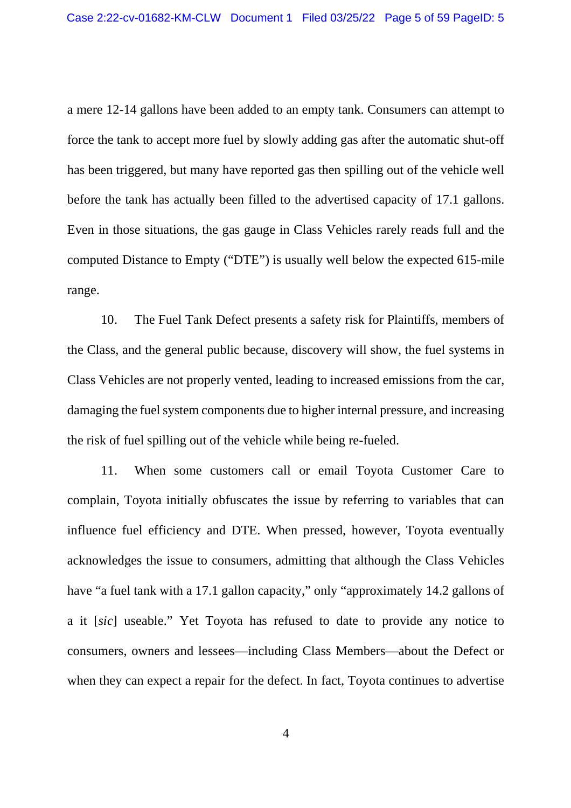a mere 12-14 gallons have been added to an empty tank. Consumers can attempt to force the tank to accept more fuel by slowly adding gas after the automatic shut-off has been triggered, but many have reported gas then spilling out of the vehicle well before the tank has actually been filled to the advertised capacity of 17.1 gallons. Even in those situations, the gas gauge in Class Vehicles rarely reads full and the computed Distance to Empty ("DTE") is usually well below the expected 615-mile range.

10. The Fuel Tank Defect presents a safety risk for Plaintiffs, members of the Class, and the general public because, discovery will show, the fuel systems in Class Vehicles are not properly vented, leading to increased emissions from the car, damaging the fuel system components due to higher internal pressure, and increasing the risk of fuel spilling out of the vehicle while being re-fueled.

11. When some customers call or email Toyota Customer Care to complain, Toyota initially obfuscates the issue by referring to variables that can influence fuel efficiency and DTE. When pressed, however, Toyota eventually acknowledges the issue to consumers, admitting that although the Class Vehicles have "a fuel tank with a 17.1 gallon capacity," only "approximately 14.2 gallons of a it [*sic*] useable." Yet Toyota has refused to date to provide any notice to consumers, owners and lessees—including Class Members—about the Defect or when they can expect a repair for the defect. In fact, Toyota continues to advertise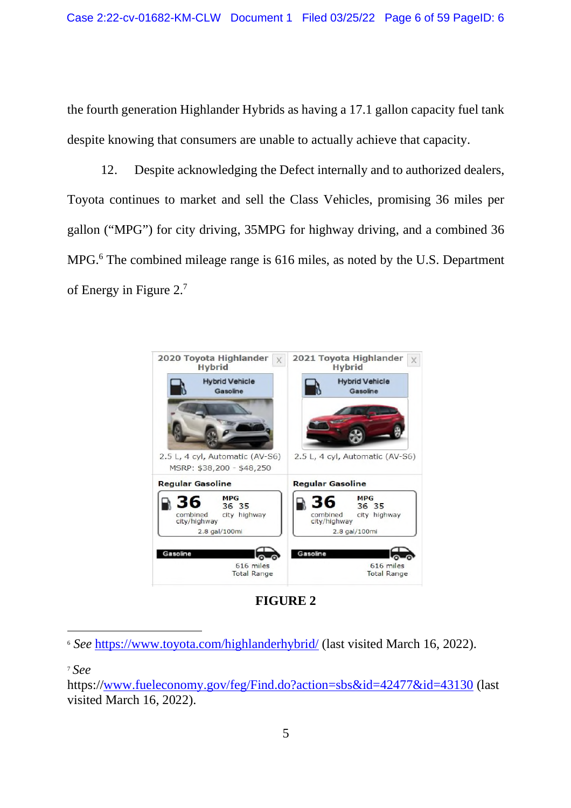the fourth generation Highlander Hybrids as having a 17.1 gallon capacity fuel tank despite knowing that consumers are unable to actually achieve that capacity.

12. Despite acknowledging the Defect internally and to authorized dealers, Toyota continues to market and sell the Class Vehicles, promising 36 miles per gallon ("MPG") for city driving, 35MPG for highway driving, and a combined 36 MPG.<sup>6</sup> The combined mileage range is 616 miles, as noted by the U.S. Department of Energy in Figure 2.<sup>7</sup>



**FIGURE 2**

<sup>6</sup> *See* https://www.toyota.com/highlanderhybrid/ (last visited March 16, 2022).

<sup>7</sup> *See*

https://www.fueleconomy.gov/feg/Find.do?action=sbs&id=42477&id=43130 (last visited March 16, 2022).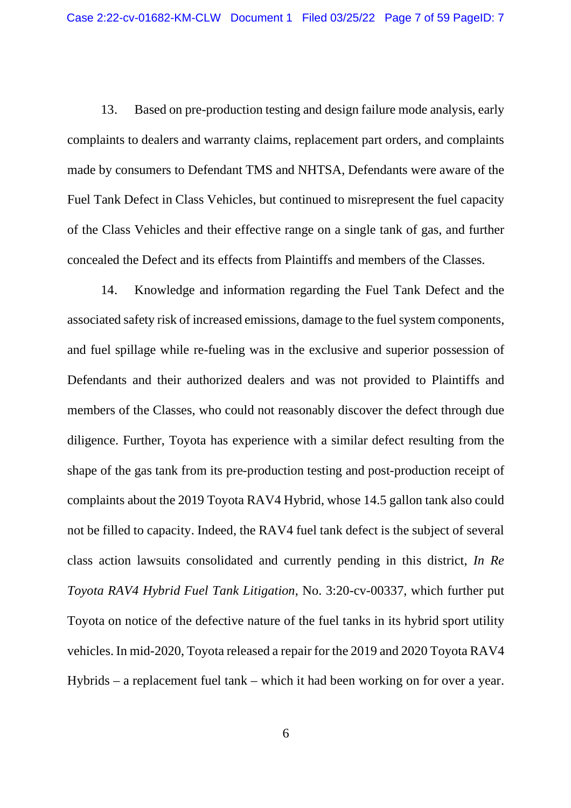13. Based on pre-production testing and design failure mode analysis, early complaints to dealers and warranty claims, replacement part orders, and complaints made by consumers to Defendant TMS and NHTSA, Defendants were aware of the Fuel Tank Defect in Class Vehicles, but continued to misrepresent the fuel capacity of the Class Vehicles and their effective range on a single tank of gas, and further concealed the Defect and its effects from Plaintiffs and members of the Classes.

14. Knowledge and information regarding the Fuel Tank Defect and the associated safety risk of increased emissions, damage to the fuel system components, and fuel spillage while re-fueling was in the exclusive and superior possession of Defendants and their authorized dealers and was not provided to Plaintiffs and members of the Classes, who could not reasonably discover the defect through due diligence. Further, Toyota has experience with a similar defect resulting from the shape of the gas tank from its pre-production testing and post-production receipt of complaints about the 2019 Toyota RAV4 Hybrid, whose 14.5 gallon tank also could not be filled to capacity. Indeed, the RAV4 fuel tank defect is the subject of several class action lawsuits consolidated and currently pending in this district, *In Re Toyota RAV4 Hybrid Fuel Tank Litigation*, No. 3:20-cv-00337, which further put Toyota on notice of the defective nature of the fuel tanks in its hybrid sport utility vehicles. In mid-2020, Toyota released a repair for the 2019 and 2020 Toyota RAV4 Hybrids – a replacement fuel tank – which it had been working on for over a year.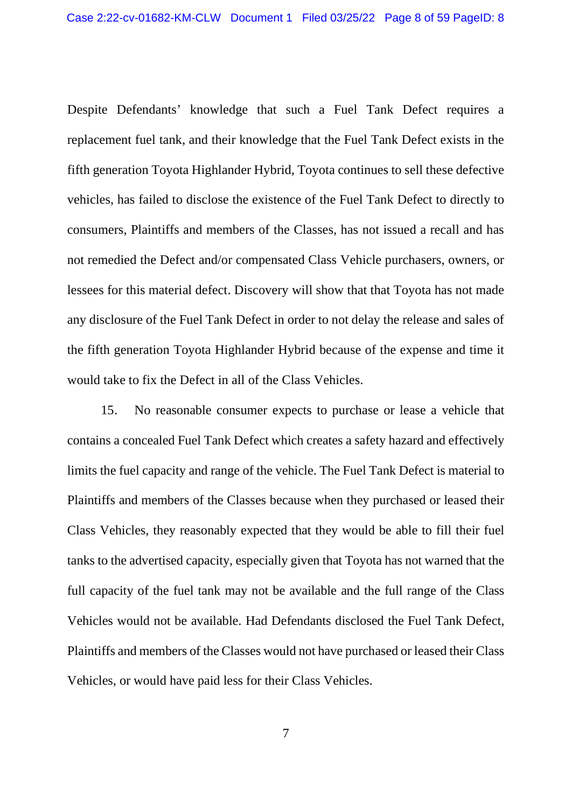Despite Defendants' knowledge that such a Fuel Tank Defect requires a replacement fuel tank, and their knowledge that the Fuel Tank Defect exists in the fifth generation Toyota Highlander Hybrid, Toyota continues to sell these defective vehicles, has failed to disclose the existence of the Fuel Tank Defect to directly to consumers, Plaintiffs and members of the Classes, has not issued a recall and has not remedied the Defect and/or compensated Class Vehicle purchasers, owners, or lessees for this material defect. Discovery will show that that Toyota has not made any disclosure of the Fuel Tank Defect in order to not delay the release and sales of the fifth generation Toyota Highlander Hybrid because of the expense and time it would take to fix the Defect in all of the Class Vehicles.

15. No reasonable consumer expects to purchase or lease a vehicle that contains a concealed Fuel Tank Defect which creates a safety hazard and effectively limits the fuel capacity and range of the vehicle. The Fuel Tank Defect is material to Plaintiffs and members of the Classes because when they purchased or leased their Class Vehicles, they reasonably expected that they would be able to fill their fuel tanks to the advertised capacity, especially given that Toyota has not warned that the full capacity of the fuel tank may not be available and the full range of the Class Vehicles would not be available. Had Defendants disclosed the Fuel Tank Defect, Plaintiffs and members of the Classes would not have purchased or leased their Class Vehicles, or would have paid less for their Class Vehicles.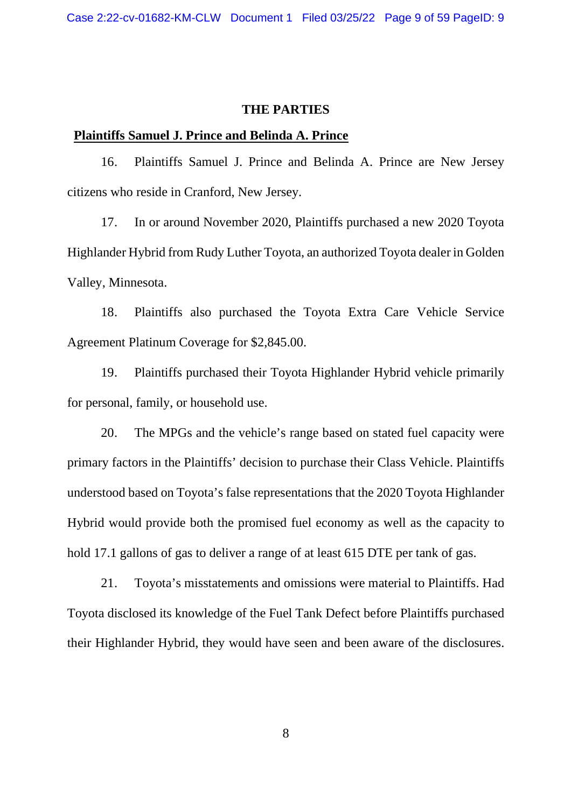#### **THE PARTIES**

#### **Plaintiffs Samuel J. Prince and Belinda A. Prince**

16. Plaintiffs Samuel J. Prince and Belinda A. Prince are New Jersey citizens who reside in Cranford, New Jersey.

17. In or around November 2020, Plaintiffs purchased a new 2020 Toyota Highlander Hybrid from Rudy Luther Toyota, an authorized Toyota dealer in Golden Valley, Minnesota.

18. Plaintiffs also purchased the Toyota Extra Care Vehicle Service Agreement Platinum Coverage for \$2,845.00.

19. Plaintiffs purchased their Toyota Highlander Hybrid vehicle primarily for personal, family, or household use.

20. The MPGs and the vehicle's range based on stated fuel capacity were primary factors in the Plaintiffs' decision to purchase their Class Vehicle. Plaintiffs understood based on Toyota's false representations that the 2020 Toyota Highlander Hybrid would provide both the promised fuel economy as well as the capacity to hold 17.1 gallons of gas to deliver a range of at least 615 DTE per tank of gas.

21. Toyota's misstatements and omissions were material to Plaintiffs. Had Toyota disclosed its knowledge of the Fuel Tank Defect before Plaintiffs purchased their Highlander Hybrid, they would have seen and been aware of the disclosures.

8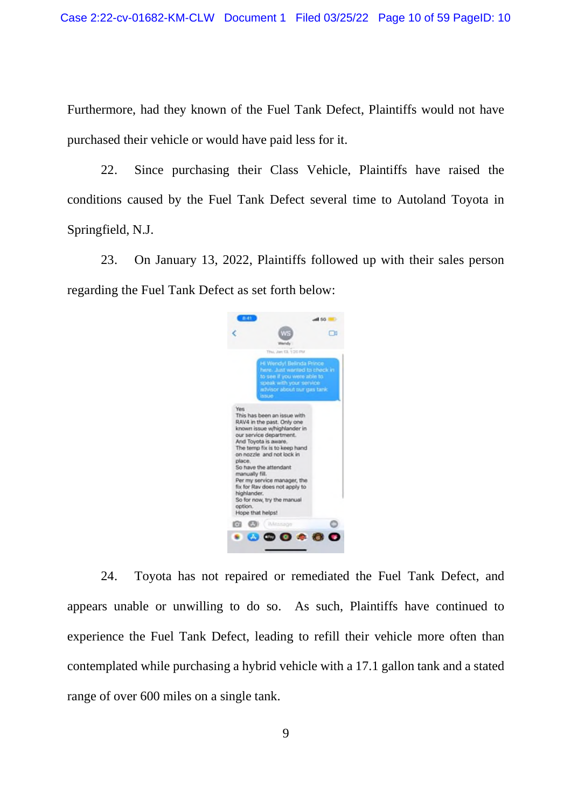Furthermore, had they known of the Fuel Tank Defect, Plaintiffs would not have purchased their vehicle or would have paid less for it.

22. Since purchasing their Class Vehicle, Plaintiffs have raised the conditions caused by the Fuel Tank Defect several time to Autoland Toyota in Springfield, N.J.

23. On January 13, 2022, Plaintiffs followed up with their sales person regarding the Fuel Tank Defect as set forth below:



24. Toyota has not repaired or remediated the Fuel Tank Defect, and appears unable or unwilling to do so. As such, Plaintiffs have continued to experience the Fuel Tank Defect, leading to refill their vehicle more often than contemplated while purchasing a hybrid vehicle with a 17.1 gallon tank and a stated range of over 600 miles on a single tank.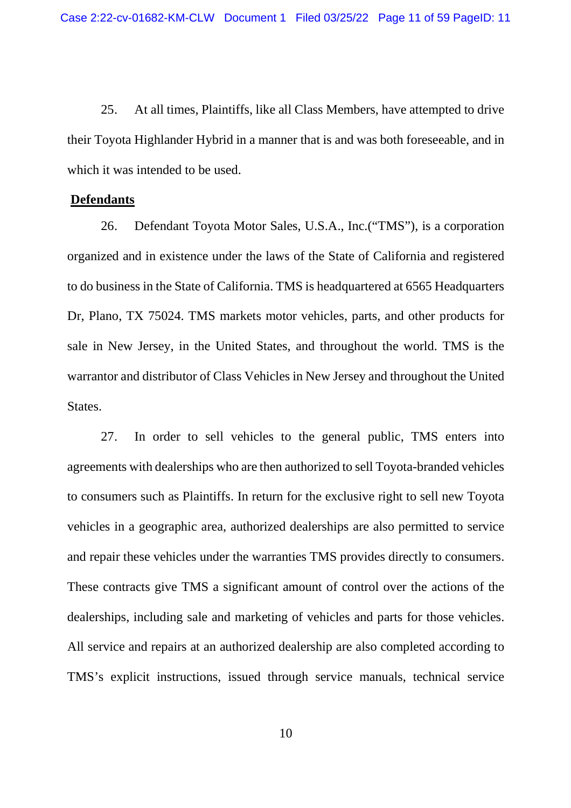25. At all times, Plaintiffs, like all Class Members, have attempted to drive their Toyota Highlander Hybrid in a manner that is and was both foreseeable, and in which it was intended to be used.

#### **Defendants**

26. Defendant Toyota Motor Sales, U.S.A., Inc.("TMS"), is a corporation organized and in existence under the laws of the State of California and registered to do business in the State of California. TMS is headquartered at 6565 Headquarters Dr, Plano, TX 75024. TMS markets motor vehicles, parts, and other products for sale in New Jersey, in the United States, and throughout the world. TMS is the warrantor and distributor of Class Vehicles in New Jersey and throughout the United States.

27. In order to sell vehicles to the general public, TMS enters into agreements with dealerships who are then authorized to sell Toyota-branded vehicles to consumers such as Plaintiffs. In return for the exclusive right to sell new Toyota vehicles in a geographic area, authorized dealerships are also permitted to service and repair these vehicles under the warranties TMS provides directly to consumers. These contracts give TMS a significant amount of control over the actions of the dealerships, including sale and marketing of vehicles and parts for those vehicles. All service and repairs at an authorized dealership are also completed according to TMS's explicit instructions, issued through service manuals, technical service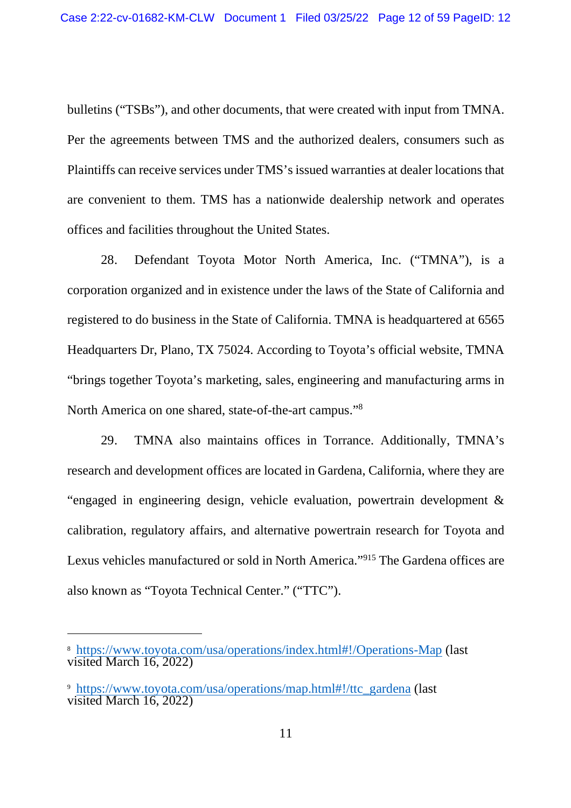bulletins ("TSBs"), and other documents, that were created with input from TMNA. Per the agreements between TMS and the authorized dealers, consumers such as Plaintiffs can receive services under TMS's issued warranties at dealer locations that are convenient to them. TMS has a nationwide dealership network and operates offices and facilities throughout the United States.

28. Defendant Toyota Motor North America, Inc. ("TMNA"), is a corporation organized and in existence under the laws of the State of California and registered to do business in the State of California. TMNA is headquartered at 6565 Headquarters Dr, Plano, TX 75024. According to Toyota's official website, TMNA "brings together Toyota's marketing, sales, engineering and manufacturing arms in North America on one shared, state-of-the-art campus."<sup>8</sup>

29. TMNA also maintains offices in Torrance. Additionally, TMNA's research and development offices are located in Gardena, California, where they are "engaged in engineering design, vehicle evaluation, powertrain development & calibration, regulatory affairs, and alternative powertrain research for Toyota and Lexus vehicles manufactured or sold in North America."<sup>915</sup> The Gardena offices are also known as "Toyota Technical Center." ("TTC").

<sup>8</sup> https://www.toyota.com/usa/operations/index.html#!/Operations-Map (last visited March 16, 2022)

<sup>9</sup> https://www.toyota.com/usa/operations/map.html#!/ttc\_gardena (last visited March 16, 2022)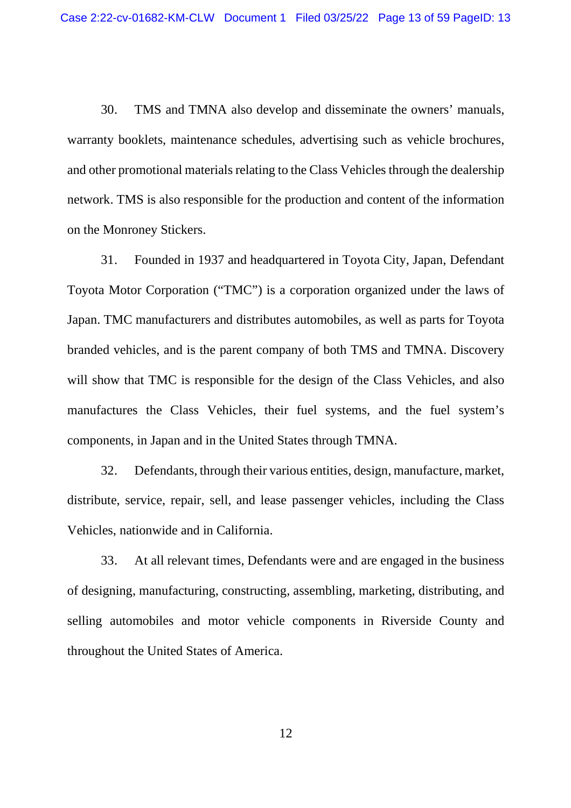30. TMS and TMNA also develop and disseminate the owners' manuals, warranty booklets, maintenance schedules, advertising such as vehicle brochures, and other promotional materials relating to the Class Vehicles through the dealership network. TMS is also responsible for the production and content of the information on the Monroney Stickers.

31. Founded in 1937 and headquartered in Toyota City, Japan, Defendant Toyota Motor Corporation ("TMC") is a corporation organized under the laws of Japan. TMC manufacturers and distributes automobiles, as well as parts for Toyota branded vehicles, and is the parent company of both TMS and TMNA. Discovery will show that TMC is responsible for the design of the Class Vehicles, and also manufactures the Class Vehicles, their fuel systems, and the fuel system's components, in Japan and in the United States through TMNA.

32. Defendants, through their various entities, design, manufacture, market, distribute, service, repair, sell, and lease passenger vehicles, including the Class Vehicles, nationwide and in California.

33. At all relevant times, Defendants were and are engaged in the business of designing, manufacturing, constructing, assembling, marketing, distributing, and selling automobiles and motor vehicle components in Riverside County and throughout the United States of America.

12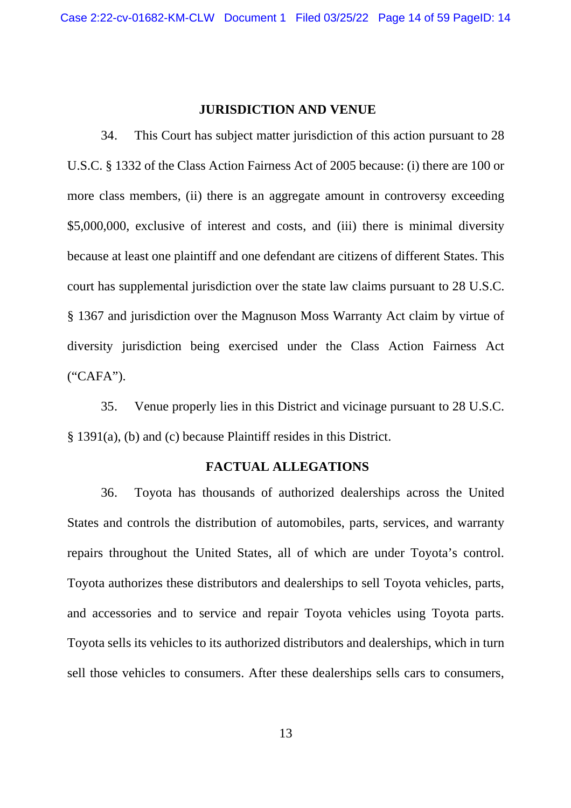#### **JURISDICTION AND VENUE**

34. This Court has subject matter jurisdiction of this action pursuant to 28 U.S.C. § 1332 of the Class Action Fairness Act of 2005 because: (i) there are 100 or more class members, (ii) there is an aggregate amount in controversy exceeding \$5,000,000, exclusive of interest and costs, and (iii) there is minimal diversity because at least one plaintiff and one defendant are citizens of different States. This court has supplemental jurisdiction over the state law claims pursuant to 28 U.S.C. § 1367 and jurisdiction over the Magnuson Moss Warranty Act claim by virtue of diversity jurisdiction being exercised under the Class Action Fairness Act ("CAFA").

35. Venue properly lies in this District and vicinage pursuant to 28 U.S.C. § 1391(a), (b) and (c) because Plaintiff resides in this District.

#### **FACTUAL ALLEGATIONS**

36. Toyota has thousands of authorized dealerships across the United States and controls the distribution of automobiles, parts, services, and warranty repairs throughout the United States, all of which are under Toyota's control. Toyota authorizes these distributors and dealerships to sell Toyota vehicles, parts, and accessories and to service and repair Toyota vehicles using Toyota parts. Toyota sells its vehicles to its authorized distributors and dealerships, which in turn sell those vehicles to consumers. After these dealerships sells cars to consumers,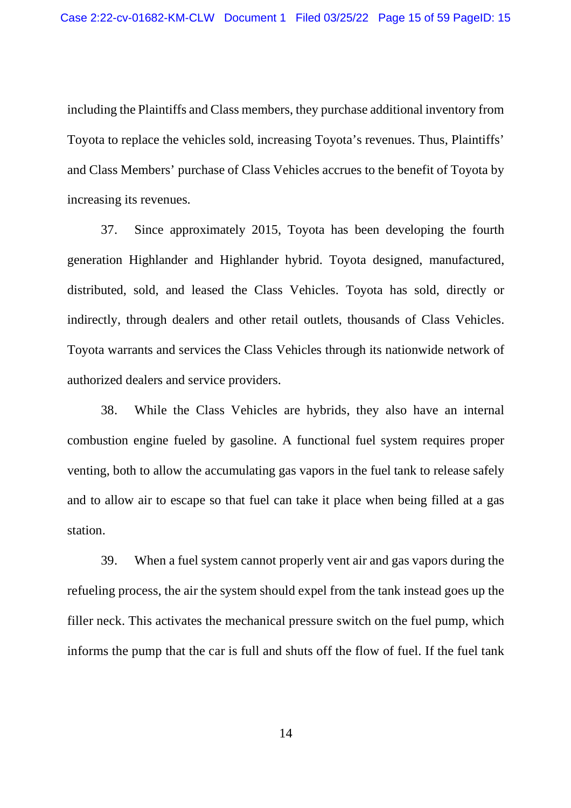including the Plaintiffs and Class members, they purchase additional inventory from Toyota to replace the vehicles sold, increasing Toyota's revenues. Thus, Plaintiffs' and Class Members' purchase of Class Vehicles accrues to the benefit of Toyota by increasing its revenues.

37. Since approximately 2015, Toyota has been developing the fourth generation Highlander and Highlander hybrid. Toyota designed, manufactured, distributed, sold, and leased the Class Vehicles. Toyota has sold, directly or indirectly, through dealers and other retail outlets, thousands of Class Vehicles. Toyota warrants and services the Class Vehicles through its nationwide network of authorized dealers and service providers.

38. While the Class Vehicles are hybrids, they also have an internal combustion engine fueled by gasoline. A functional fuel system requires proper venting, both to allow the accumulating gas vapors in the fuel tank to release safely and to allow air to escape so that fuel can take it place when being filled at a gas station.

39. When a fuel system cannot properly vent air and gas vapors during the refueling process, the air the system should expel from the tank instead goes up the filler neck. This activates the mechanical pressure switch on the fuel pump, which informs the pump that the car is full and shuts off the flow of fuel. If the fuel tank

14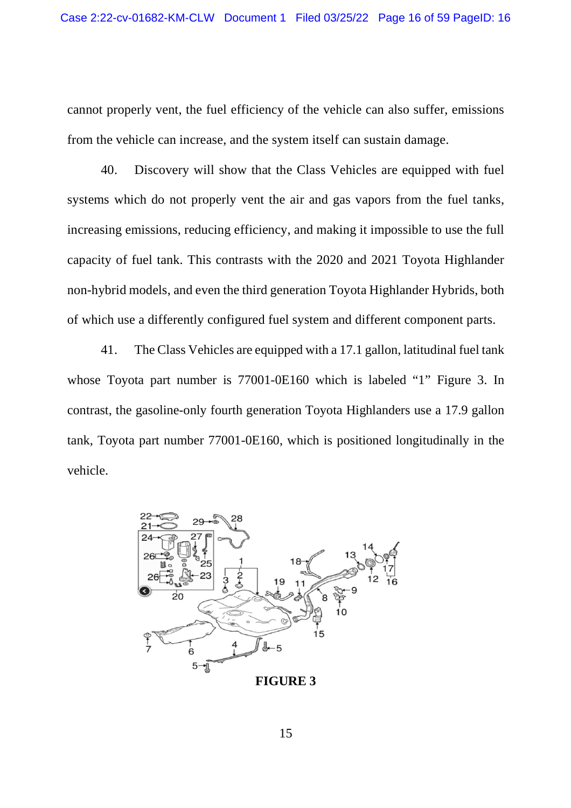cannot properly vent, the fuel efficiency of the vehicle can also suffer, emissions from the vehicle can increase, and the system itself can sustain damage.

40. Discovery will show that the Class Vehicles are equipped with fuel systems which do not properly vent the air and gas vapors from the fuel tanks, increasing emissions, reducing efficiency, and making it impossible to use the full capacity of fuel tank. This contrasts with the 2020 and 2021 Toyota Highlander non-hybrid models, and even the third generation Toyota Highlander Hybrids, both of which use a differently configured fuel system and different component parts.

41. The Class Vehicles are equipped with a 17.1 gallon, latitudinal fuel tank whose Toyota part number is 77001-0E160 which is labeled "1" Figure 3. In contrast, the gasoline-only fourth generation Toyota Highlanders use a 17.9 gallon tank, Toyota part number 77001-0E160, which is positioned longitudinally in the vehicle.



**FIGURE 3**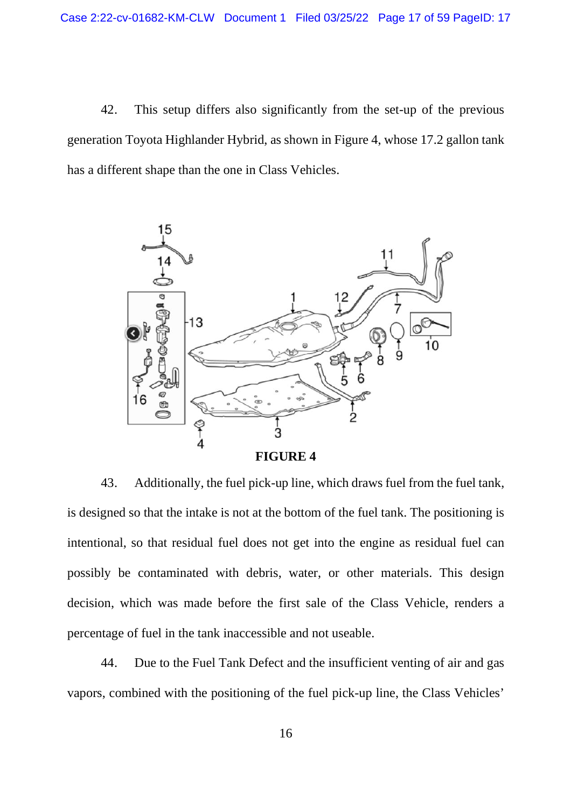42. This setup differs also significantly from the set-up of the previous generation Toyota Highlander Hybrid, as shown in Figure 4, whose 17.2 gallon tank has a different shape than the one in Class Vehicles.



43. Additionally, the fuel pick-up line, which draws fuel from the fuel tank, is designed so that the intake is not at the bottom of the fuel tank. The positioning is intentional, so that residual fuel does not get into the engine as residual fuel can possibly be contaminated with debris, water, or other materials. This design decision, which was made before the first sale of the Class Vehicle, renders a percentage of fuel in the tank inaccessible and not useable.

44. Due to the Fuel Tank Defect and the insufficient venting of air and gas vapors, combined with the positioning of the fuel pick-up line, the Class Vehicles'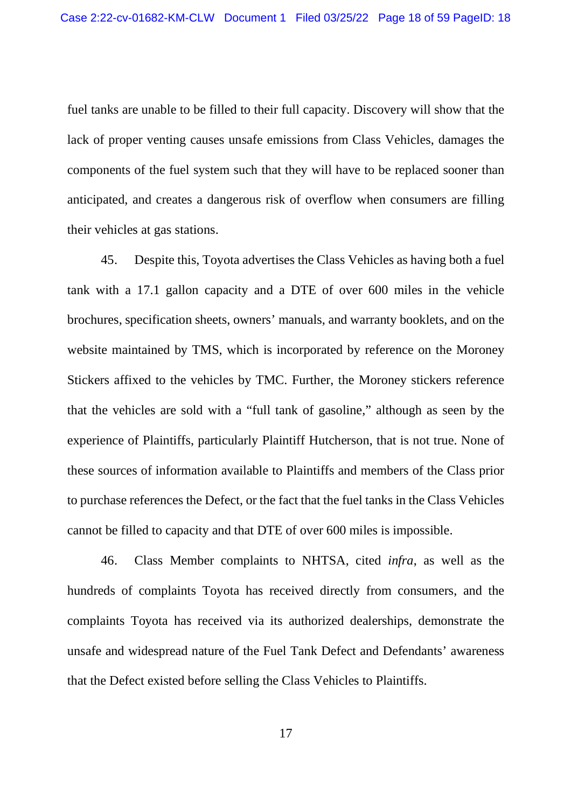fuel tanks are unable to be filled to their full capacity. Discovery will show that the lack of proper venting causes unsafe emissions from Class Vehicles, damages the components of the fuel system such that they will have to be replaced sooner than anticipated, and creates a dangerous risk of overflow when consumers are filling their vehicles at gas stations.

45. Despite this, Toyota advertises the Class Vehicles as having both a fuel tank with a 17.1 gallon capacity and a DTE of over 600 miles in the vehicle brochures, specification sheets, owners' manuals, and warranty booklets, and on the website maintained by TMS, which is incorporated by reference on the Moroney Stickers affixed to the vehicles by TMC. Further, the Moroney stickers reference that the vehicles are sold with a "full tank of gasoline," although as seen by the experience of Plaintiffs, particularly Plaintiff Hutcherson, that is not true. None of these sources of information available to Plaintiffs and members of the Class prior to purchase references the Defect, or the fact that the fuel tanks in the Class Vehicles cannot be filled to capacity and that DTE of over 600 miles is impossible.

46. Class Member complaints to NHTSA, cited *infra*, as well as the hundreds of complaints Toyota has received directly from consumers, and the complaints Toyota has received via its authorized dealerships, demonstrate the unsafe and widespread nature of the Fuel Tank Defect and Defendants' awareness that the Defect existed before selling the Class Vehicles to Plaintiffs.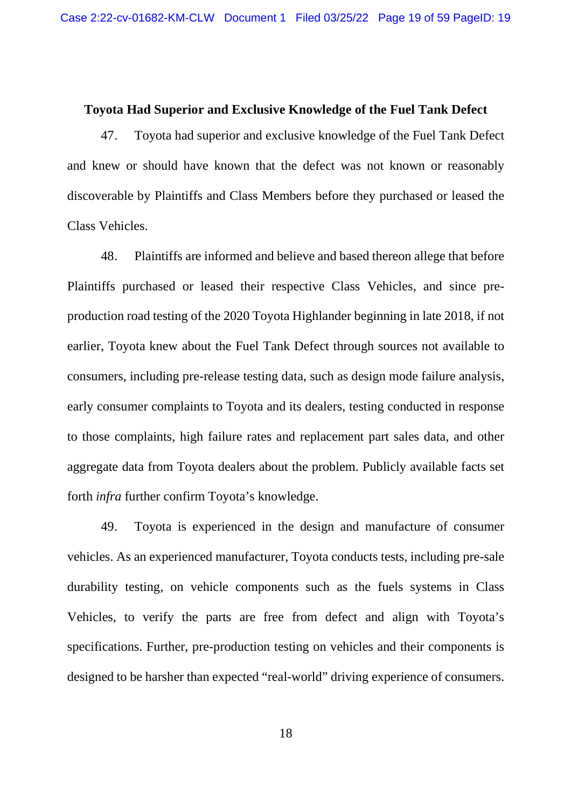#### **Toyota Had Superior and Exclusive Knowledge of the Fuel Tank Defect**

47. Toyota had superior and exclusive knowledge of the Fuel Tank Defect and knew or should have known that the defect was not known or reasonably discoverable by Plaintiffs and Class Members before they purchased or leased the Class Vehicles.

48. Plaintiffs are informed and believe and based thereon allege that before Plaintiffs purchased or leased their respective Class Vehicles, and since preproduction road testing of the 2020 Toyota Highlander beginning in late 2018, if not earlier, Toyota knew about the Fuel Tank Defect through sources not available to consumers, including pre-release testing data, such as design mode failure analysis, early consumer complaints to Toyota and its dealers, testing conducted in response to those complaints, high failure rates and replacement part sales data, and other aggregate data from Toyota dealers about the problem. Publicly available facts set forth *infra* further confirm Toyota's knowledge.

49. Toyota is experienced in the design and manufacture of consumer vehicles. As an experienced manufacturer, Toyota conducts tests, including pre-sale durability testing, on vehicle components such as the fuels systems in Class Vehicles, to verify the parts are free from defect and align with Toyota's specifications. Further, pre-production testing on vehicles and their components is designed to be harsher than expected "real-world" driving experience of consumers.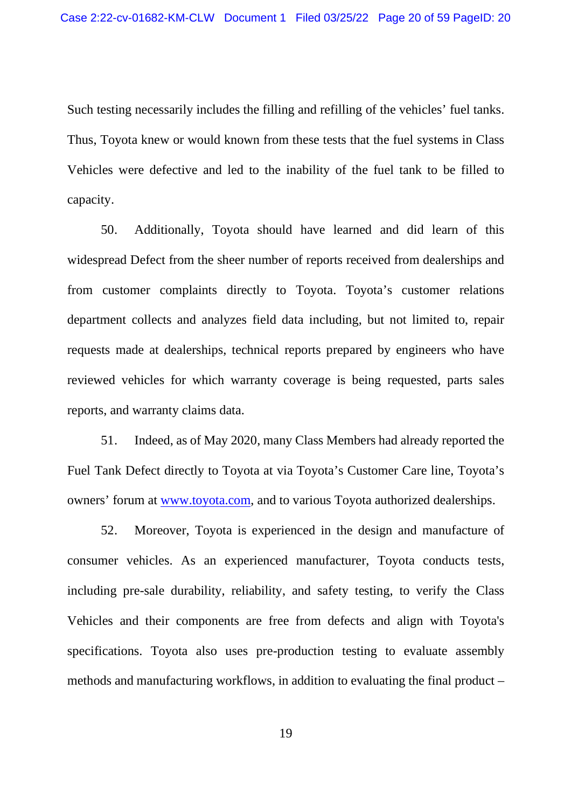Such testing necessarily includes the filling and refilling of the vehicles' fuel tanks. Thus, Toyota knew or would known from these tests that the fuel systems in Class Vehicles were defective and led to the inability of the fuel tank to be filled to capacity.

50. Additionally, Toyota should have learned and did learn of this widespread Defect from the sheer number of reports received from dealerships and from customer complaints directly to Toyota. Toyota's customer relations department collects and analyzes field data including, but not limited to, repair requests made at dealerships, technical reports prepared by engineers who have reviewed vehicles for which warranty coverage is being requested, parts sales reports, and warranty claims data.

51. Indeed, as of May 2020, many Class Members had already reported the Fuel Tank Defect directly to Toyota at via Toyota's Customer Care line, Toyota's owners' forum at www.toyota.com, and to various Toyota authorized dealerships.

52. Moreover, Toyota is experienced in the design and manufacture of consumer vehicles. As an experienced manufacturer, Toyota conducts tests, including pre-sale durability, reliability, and safety testing, to verify the Class Vehicles and their components are free from defects and align with Toyota's specifications. Toyota also uses pre-production testing to evaluate assembly methods and manufacturing workflows, in addition to evaluating the final product –

19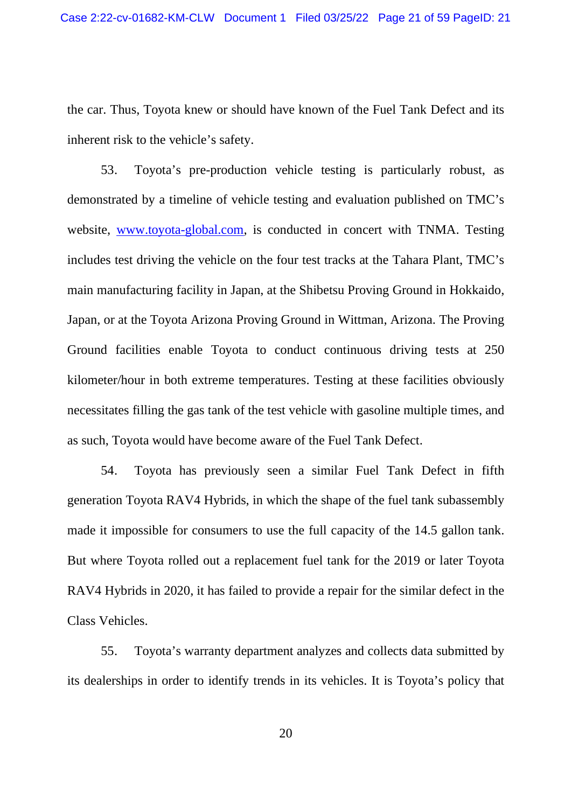the car. Thus, Toyota knew or should have known of the Fuel Tank Defect and its inherent risk to the vehicle's safety.

53. Toyota's pre-production vehicle testing is particularly robust, as demonstrated by a timeline of vehicle testing and evaluation published on TMC's website, www.toyota-global.com, is conducted in concert with TNMA. Testing includes test driving the vehicle on the four test tracks at the Tahara Plant, TMC's main manufacturing facility in Japan, at the Shibetsu Proving Ground in Hokkaido, Japan, or at the Toyota Arizona Proving Ground in Wittman, Arizona. The Proving Ground facilities enable Toyota to conduct continuous driving tests at 250 kilometer/hour in both extreme temperatures. Testing at these facilities obviously necessitates filling the gas tank of the test vehicle with gasoline multiple times, and as such, Toyota would have become aware of the Fuel Tank Defect.

54. Toyota has previously seen a similar Fuel Tank Defect in fifth generation Toyota RAV4 Hybrids, in which the shape of the fuel tank subassembly made it impossible for consumers to use the full capacity of the 14.5 gallon tank. But where Toyota rolled out a replacement fuel tank for the 2019 or later Toyota RAV4 Hybrids in 2020, it has failed to provide a repair for the similar defect in the Class Vehicles.

55. Toyota's warranty department analyzes and collects data submitted by its dealerships in order to identify trends in its vehicles. It is Toyota's policy that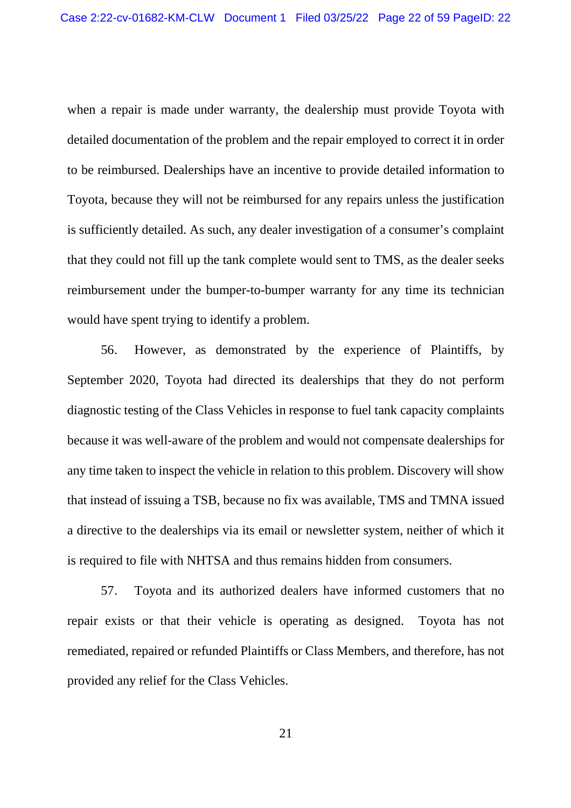when a repair is made under warranty, the dealership must provide Toyota with detailed documentation of the problem and the repair employed to correct it in order to be reimbursed. Dealerships have an incentive to provide detailed information to Toyota, because they will not be reimbursed for any repairs unless the justification is sufficiently detailed. As such, any dealer investigation of a consumer's complaint that they could not fill up the tank complete would sent to TMS, as the dealer seeks reimbursement under the bumper-to-bumper warranty for any time its technician would have spent trying to identify a problem.

56. However, as demonstrated by the experience of Plaintiffs, by September 2020, Toyota had directed its dealerships that they do not perform diagnostic testing of the Class Vehicles in response to fuel tank capacity complaints because it was well-aware of the problem and would not compensate dealerships for any time taken to inspect the vehicle in relation to this problem. Discovery will show that instead of issuing a TSB, because no fix was available, TMS and TMNA issued a directive to the dealerships via its email or newsletter system, neither of which it is required to file with NHTSA and thus remains hidden from consumers.

57. Toyota and its authorized dealers have informed customers that no repair exists or that their vehicle is operating as designed. Toyota has not remediated, repaired or refunded Plaintiffs or Class Members, and therefore, has not provided any relief for the Class Vehicles.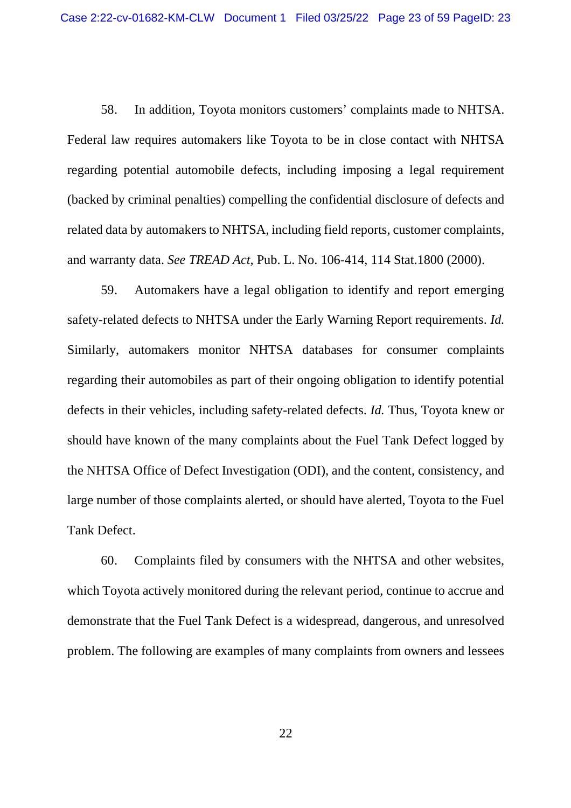58. In addition, Toyota monitors customers' complaints made to NHTSA. Federal law requires automakers like Toyota to be in close contact with NHTSA regarding potential automobile defects, including imposing a legal requirement (backed by criminal penalties) compelling the confidential disclosure of defects and related data by automakers to NHTSA, including field reports, customer complaints, and warranty data. *See TREAD Act,* Pub. L. No. 106-414, 114 Stat.1800 (2000).

59. Automakers have a legal obligation to identify and report emerging safety-related defects to NHTSA under the Early Warning Report requirements. *Id.* Similarly, automakers monitor NHTSA databases for consumer complaints regarding their automobiles as part of their ongoing obligation to identify potential defects in their vehicles, including safety-related defects. *Id.* Thus, Toyota knew or should have known of the many complaints about the Fuel Tank Defect logged by the NHTSA Office of Defect Investigation (ODI), and the content, consistency, and large number of those complaints alerted, or should have alerted, Toyota to the Fuel Tank Defect.

60. Complaints filed by consumers with the NHTSA and other websites, which Toyota actively monitored during the relevant period, continue to accrue and demonstrate that the Fuel Tank Defect is a widespread, dangerous, and unresolved problem. The following are examples of many complaints from owners and lessees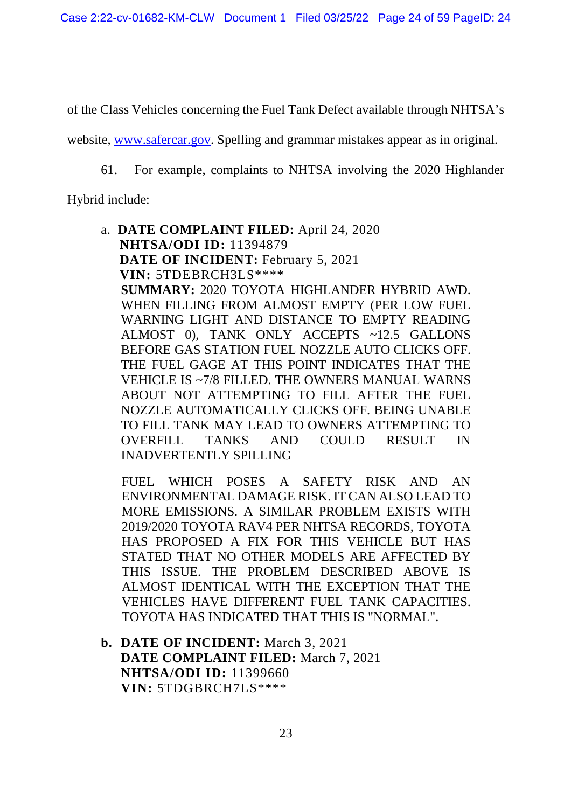of the Class Vehicles concerning the Fuel Tank Defect available through NHTSA's

website, www.safercar.gov. Spelling and grammar mistakes appear as in original.

61. For example, complaints to NHTSA involving the 2020 Highlander

Hybrid include:

a. **DATE COMPLAINT FILED:** April 24, 2020 **NHTSA/ODI ID:** 11394879 **DATE OF INCIDENT:** February 5, 2021 **VIN:** 5TDEBRCH3LS\*\*\*\* **SUMMARY:** 2020 TOYOTA HIGHLANDER HYBRID AWD. WHEN FILLING FROM ALMOST EMPTY (PER LOW FUEL WARNING LIGHT AND DISTANCE TO EMPTY READING ALMOST 0), TANK ONLY ACCEPTS ~12.5 GALLONS BEFORE GAS STATION FUEL NOZZLE AUTO CLICKS OFF. THE FUEL GAGE AT THIS POINT INDICATES THAT THE VEHICLE IS ~7/8 FILLED. THE OWNERS MANUAL WARNS ABOUT NOT ATTEMPTING TO FILL AFTER THE FUEL NOZZLE AUTOMATICALLY CLICKS OFF. BEING UNABLE TO FILL TANK MAY LEAD TO OWNERS ATTEMPTING TO OVERFILL TANKS AND COULD RESULT IN INADVERTENTLY SPILLING

FUEL WHICH POSES A SAFETY RISK AND AN ENVIRONMENTAL DAMAGE RISK. IT CAN ALSO LEAD TO MORE EMISSIONS. A SIMILAR PROBLEM EXISTS WITH 2019/2020 TOYOTA RAV4 PER NHTSA RECORDS, TOYOTA HAS PROPOSED A FIX FOR THIS VEHICLE BUT HAS STATED THAT NO OTHER MODELS ARE AFFECTED BY THIS ISSUE. THE PROBLEM DESCRIBED ABOVE IS ALMOST IDENTICAL WITH THE EXCEPTION THAT THE VEHICLES HAVE DIFFERENT FUEL TANK CAPACITIES. TOYOTA HAS INDICATED THAT THIS IS "NORMAL".

**b. DATE OF INCIDENT:** March 3, 2021 **DATE COMPLAINT FILED:** March 7, 2021 **NHTSA/ODI ID:** 11399660 **VIN:** 5TDGBRCH7LS\*\*\*\*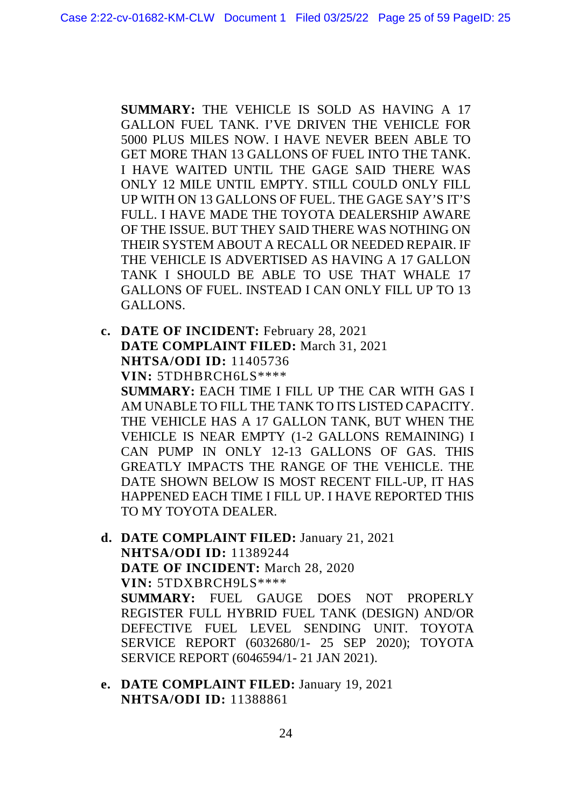**SUMMARY:** THE VEHICLE IS SOLD AS HAVING A 17 GALLON FUEL TANK. I'VE DRIVEN THE VEHICLE FOR 5000 PLUS MILES NOW. I HAVE NEVER BEEN ABLE TO GET MORE THAN 13 GALLONS OF FUEL INTO THE TANK. I HAVE WAITED UNTIL THE GAGE SAID THERE WAS ONLY 12 MILE UNTIL EMPTY. STILL COULD ONLY FILL UP WITH ON 13 GALLONS OF FUEL. THE GAGE SAY'S IT'S FULL. I HAVE MADE THE TOYOTA DEALERSHIP AWARE OF THE ISSUE. BUT THEY SAID THERE WAS NOTHING ON THEIR SYSTEM ABOUT A RECALL OR NEEDED REPAIR. IF THE VEHICLE IS ADVERTISED AS HAVING A 17 GALLON TANK I SHOULD BE ABLE TO USE THAT WHALE 17 GALLONS OF FUEL. INSTEAD I CAN ONLY FILL UP TO 13 GALLONS.

- **c. DATE OF INCIDENT:** February 28, 2021 **DATE COMPLAINT FILED:** March 31, 2021 **NHTSA/ODI ID:** 11405736 **VIN:** 5TDHBRCH6LS\*\*\*\* **SUMMARY:** EACH TIME I FILL UP THE CAR WITH GAS I AM UNABLE TO FILL THE TANK TO ITS LISTED CAPACITY. THE VEHICLE HAS A 17 GALLON TANK, BUT WHEN THE VEHICLE IS NEAR EMPTY (1-2 GALLONS REMAINING) I CAN PUMP IN ONLY 12-13 GALLONS OF GAS. THIS GREATLY IMPACTS THE RANGE OF THE VEHICLE. THE DATE SHOWN BELOW IS MOST RECENT FILL-UP, IT HAS HAPPENED EACH TIME I FILL UP. I HAVE REPORTED THIS TO MY TOYOTA DEALER.
- **d. DATE COMPLAINT FILED:** January 21, 2021 **NHTSA/ODI ID:** 11389244 **DATE OF INCIDENT:** March 28, 2020 **VIN:** 5TDXBRCH9LS\*\*\*\* **SUMMARY:** FUEL GAUGE DOES NOT PROPERLY REGISTER FULL HYBRID FUEL TANK (DESIGN) AND/OR DEFECTIVE FUEL LEVEL SENDING UNIT. TOYOTA SERVICE REPORT (6032680/1- 25 SEP 2020); TOYOTA SERVICE REPORT (6046594/1- 21 JAN 2021).
- **e. DATE COMPLAINT FILED:** January 19, 2021 **NHTSA/ODI ID:** 11388861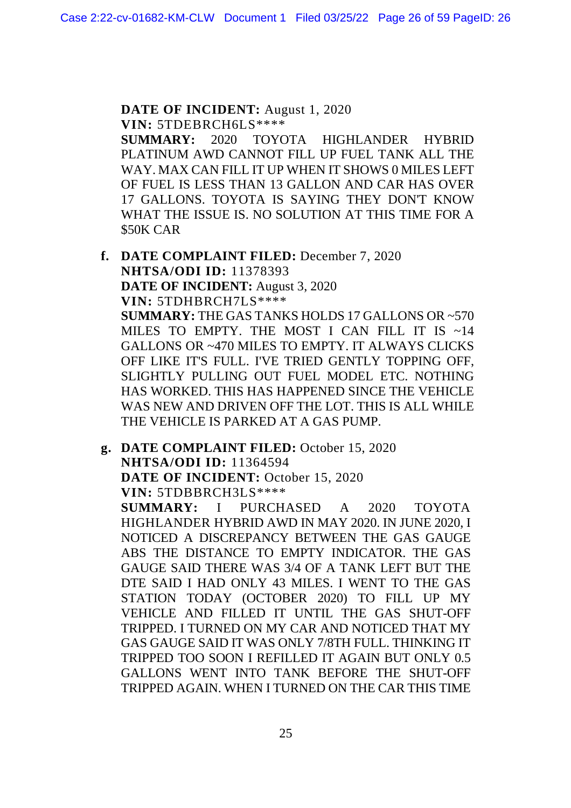**DATE OF INCIDENT:** August 1, 2020 **VIN:** 5TDEBRCH6LS\*\*\*\*

**SUMMARY:** 2020 TOYOTA HIGHLANDER HYBRID PLATINUM AWD CANNOT FILL UP FUEL TANK ALL THE WAY. MAX CAN FILL IT UP WHEN IT SHOWS 0 MILES LEFT OF FUEL IS LESS THAN 13 GALLON AND CAR HAS OVER 17 GALLONS. TOYOTA IS SAYING THEY DON'T KNOW WHAT THE ISSUE IS. NO SOLUTION AT THIS TIME FOR A \$50K CAR

- **f. DATE COMPLAINT FILED:** December 7, 2020 **NHTSA/ODI ID:** 11378393 **DATE OF INCIDENT:** August 3, 2020 **VIN:** 5TDHBRCH7LS\*\*\*\* **SUMMARY:** THE GAS TANKS HOLDS 17 GALLONS OR ~570 MILES TO EMPTY. THE MOST I CAN FILL IT IS ~14 GALLONS OR ~470 MILES TO EMPTY. IT ALWAYS CLICKS OFF LIKE IT'S FULL. I'VE TRIED GENTLY TOPPING OFF, SLIGHTLY PULLING OUT FUEL MODEL ETC. NOTHING HAS WORKED. THIS HAS HAPPENED SINCE THE VEHICLE WAS NEW AND DRIVEN OFF THE LOT. THIS IS ALL WHILE THE VEHICLE IS PARKED AT A GAS PUMP.
- **g. DATE COMPLAINT FILED:** October 15, 2020 **NHTSA/ODI ID:** 11364594 **DATE OF INCIDENT:** October 15, 2020 **VIN:** 5TDBBRCH3LS\*\*\*\*

**SUMMARY:** I PURCHASED A 2020 TOYOTA HIGHLANDER HYBRID AWD IN MAY 2020. IN JUNE 2020, I NOTICED A DISCREPANCY BETWEEN THE GAS GAUGE ABS THE DISTANCE TO EMPTY INDICATOR. THE GAS GAUGE SAID THERE WAS 3/4 OF A TANK LEFT BUT THE DTE SAID I HAD ONLY 43 MILES. I WENT TO THE GAS STATION TODAY (OCTOBER 2020) TO FILL UP MY VEHICLE AND FILLED IT UNTIL THE GAS SHUT-OFF TRIPPED. I TURNED ON MY CAR AND NOTICED THAT MY GAS GAUGE SAID IT WAS ONLY 7/8TH FULL. THINKING IT TRIPPED TOO SOON I REFILLED IT AGAIN BUT ONLY 0.5 GALLONS WENT INTO TANK BEFORE THE SHUT-OFF TRIPPED AGAIN. WHEN I TURNED ON THE CAR THIS TIME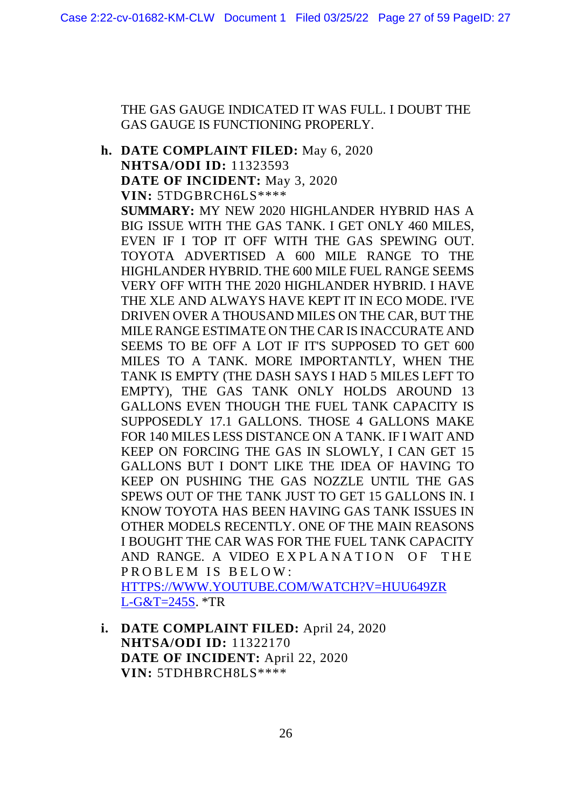THE GAS GAUGE INDICATED IT WAS FULL. I DOUBT THE GAS GAUGE IS FUNCTIONING PROPERLY.

**h. DATE COMPLAINT FILED:** May 6, 2020 **NHTSA/ODI ID:** 11323593 **DATE OF INCIDENT:** May 3, 2020 **VIN:** 5TDGBRCH6LS\*\*\*\* **SUMMARY:** MY NEW 2020 HIGHLANDER HYBRID HAS A BIG ISSUE WITH THE GAS TANK. I GET ONLY 460 MILES, EVEN IF I TOP IT OFF WITH THE GAS SPEWING OUT. TOYOTA ADVERTISED A 600 MILE RANGE TO THE HIGHLANDER HYBRID. THE 600 MILE FUEL RANGE SEEMS VERY OFF WITH THE 2020 HIGHLANDER HYBRID. I HAVE THE XLE AND ALWAYS HAVE KEPT IT IN ECO MODE. I'VE DRIVEN OVER A THOUSAND MILES ON THE CAR, BUT THE MILE RANGE ESTIMATE ON THE CAR IS INACCURATE AND SEEMS TO BE OFF A LOT IF IT'S SUPPOSED TO GET 600 MILES TO A TANK. MORE IMPORTANTLY, WHEN THE TANK IS EMPTY (THE DASH SAYS I HAD 5 MILES LEFT TO EMPTY), THE GAS TANK ONLY HOLDS AROUND 13 GALLONS EVEN THOUGH THE FUEL TANK CAPACITY IS SUPPOSEDLY 17.1 GALLONS. THOSE 4 GALLONS MAKE FOR 140 MILES LESS DISTANCE ON A TANK. IF I WAIT AND KEEP ON FORCING THE GAS IN SLOWLY, I CAN GET 15 GALLONS BUT I DON'T LIKE THE IDEA OF HAVING TO KEEP ON PUSHING THE GAS NOZZLE UNTIL THE GAS SPEWS OUT OF THE TANK JUST TO GET 15 GALLONS IN. I KNOW TOYOTA HAS BEEN HAVING GAS TANK ISSUES IN OTHER MODELS RECENTLY. ONE OF THE MAIN REASONS I BOUGHT THE CAR WAS FOR THE FUEL TANK CAPACITY AND RANGE. A VIDEO EXPLANATION OF THE PROBLEM IS BELOW: HTTPS://WWW.YOUTUBE.COM/WATCH?V=HUU649ZR

L-G&T=245S. \*TR

**i. DATE COMPLAINT FILED:** April 24, 2020 **NHTSA/ODI ID:** 11322170 **DATE OF INCIDENT:** April 22, 2020 **VIN:** 5TDHBRCH8LS\*\*\*\*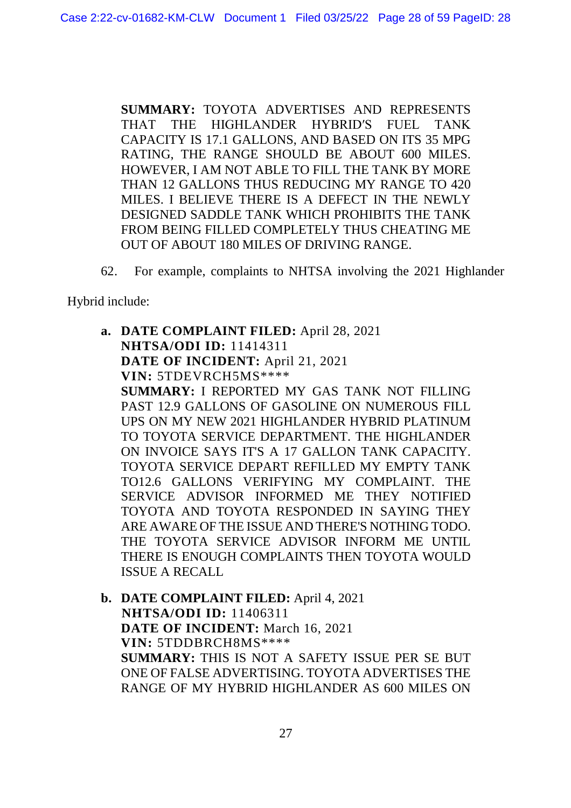**SUMMARY:** TOYOTA ADVERTISES AND REPRESENTS THAT THE HIGHLANDER HYBRID′S FUEL TANK CAPACITY IS 17.1 GALLONS, AND BASED ON ITS 35 MPG RATING, THE RANGE SHOULD BE ABOUT 600 MILES. HOWEVER, I AM NOT ABLE TO FILL THE TANK BY MORE THAN 12 GALLONS THUS REDUCING MY RANGE TO 420 MILES. I BELIEVE THERE IS A DEFECT IN THE NEWLY DESIGNED SADDLE TANK WHICH PROHIBITS THE TANK FROM BEING FILLED COMPLETELY THUS CHEATING ME OUT OF ABOUT 180 MILES OF DRIVING RANGE.

62. For example, complaints to NHTSA involving the 2021 Highlander

Hybrid include:

ISSUE A RECALL

**a. DATE COMPLAINT FILED:** April 28, 2021 **NHTSA/ODI ID:** 11414311 **DATE OF INCIDENT:** April 21, 2021 **VIN:** 5TDEVRCH5MS\*\*\*\* **SUMMARY:** I REPORTED MY GAS TANK NOT FILLING PAST 12.9 GALLONS OF GASOLINE ON NUMEROUS FILL UPS ON MY NEW 2021 HIGHLANDER HYBRID PLATINUM TO TOYOTA SERVICE DEPARTMENT. THE HIGHLANDER ON INVOICE SAYS IT'S A 17 GALLON TANK CAPACITY. TOYOTA SERVICE DEPART REFILLED MY EMPTY TANK TO12.6 GALLONS VERIFYING MY COMPLAINT. THE SERVICE ADVISOR INFORMED ME THEY NOTIFIED TOYOTA AND TOYOTA RESPONDED IN SAYING THEY ARE AWARE OF THE ISSUE AND THERE'S NOTHING TODO. THE TOYOTA SERVICE ADVISOR INFORM ME UNTIL

**b. DATE COMPLAINT FILED:** April 4, 2021 **NHTSA/ODI ID:** 11406311 **DATE OF INCIDENT:** March 16, 2021 **VIN:** 5TDDBRCH8MS\*\*\*\* **SUMMARY:** THIS IS NOT A SAFETY ISSUE PER SE BUT ONE OF FALSE ADVERTISING. TOYOTA ADVERTISES THE RANGE OF MY HYBRID HIGHLANDER AS 600 MILES ON

THERE IS ENOUGH COMPLAINTS THEN TOYOTA WOULD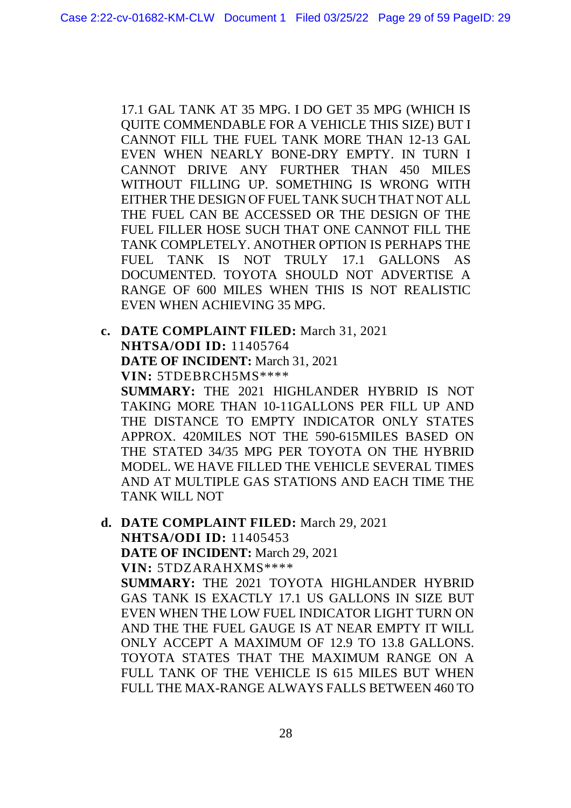17.1 GAL TANK AT 35 MPG. I DO GET 35 MPG (WHICH IS QUITE COMMENDABLE FOR A VEHICLE THIS SIZE) BUT I CANNOT FILL THE FUEL TANK MORE THAN 12-13 GAL EVEN WHEN NEARLY BONE-DRY EMPTY. IN TURN I CANNOT DRIVE ANY FURTHER THAN 450 MILES WITHOUT FILLING UP. SOMETHING IS WRONG WITH EITHER THE DESIGN OF FUEL TANK SUCH THAT NOT ALL THE FUEL CAN BE ACCESSED OR THE DESIGN OF THE FUEL FILLER HOSE SUCH THAT ONE CANNOT FILL THE TANK COMPLETELY. ANOTHER OPTION IS PERHAPS THE FUEL TANK IS NOT TRULY 17.1 GALLONS AS DOCUMENTED. TOYOTA SHOULD NOT ADVERTISE A RANGE OF 600 MILES WHEN THIS IS NOT REALISTIC EVEN WHEN ACHIEVING 35 MPG.

**c. DATE COMPLAINT FILED:** March 31, 2021 **NHTSA/ODI ID:** 11405764 **DATE OF INCIDENT:** March 31, 2021 **VIN:** 5TDEBRCH5MS\*\*\*\* **SUMMARY:** THE 2021 HIGHLANDER HYBRID IS NOT TAKING MORE THAN 10-11GALLONS PER FILL UP AND THE DISTANCE TO EMPTY INDICATOR ONLY STATES APPROX. 420MILES NOT THE 590-615MILES BASED ON THE STATED 34/35 MPG PER TOYOTA ON THE HYBRID MODEL. WE HAVE FILLED THE VEHICLE SEVERAL TIMES AND AT MULTIPLE GAS STATIONS AND EACH TIME THE TANK WILL NOT

**d. DATE COMPLAINT FILED:** March 29, 2021 **NHTSA/ODI ID:** 11405453 **DATE OF INCIDENT:** March 29, 2021 **VIN:** 5TDZARAHXMS\*\*\*\* **SUMMARY:** THE 2021 TOYOTA HIGHLANDER HYBRID GAS TANK IS EXACTLY 17.1 US GALLONS IN SIZE BUT EVEN WHEN THE LOW FUEL INDICATOR LIGHT TURN ON AND THE THE FUEL GAUGE IS AT NEAR EMPTY IT WILL ONLY ACCEPT A MAXIMUM OF 12.9 TO 13.8 GALLONS. TOYOTA STATES THAT THE MAXIMUM RANGE ON A FULL TANK OF THE VEHICLE IS 615 MILES BUT WHEN FULL THE MAX-RANGE ALWAYS FALLS BETWEEN 460 TO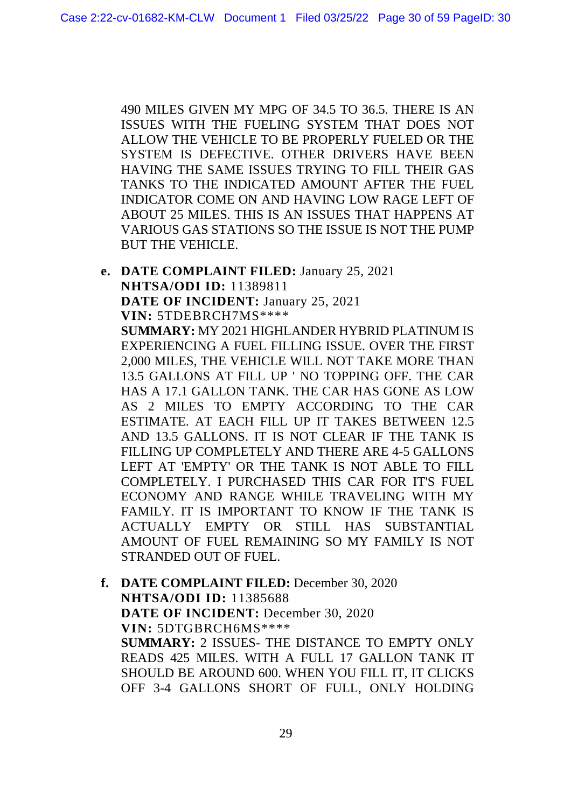490 MILES GIVEN MY MPG OF 34.5 TO 36.5. THERE IS AN ISSUES WITH THE FUELING SYSTEM THAT DOES NOT ALLOW THE VEHICLE TO BE PROPERLY FUELED OR THE SYSTEM IS DEFECTIVE. OTHER DRIVERS HAVE BEEN HAVING THE SAME ISSUES TRYING TO FILL THEIR GAS TANKS TO THE INDICATED AMOUNT AFTER THE FUEL INDICATOR COME ON AND HAVING LOW RAGE LEFT OF ABOUT 25 MILES. THIS IS AN ISSUES THAT HAPPENS AT VARIOUS GAS STATIONS SO THE ISSUE IS NOT THE PUMP BUT THE VEHICLE.

- **e. DATE COMPLAINT FILED:** January 25, 2021 **NHTSA/ODI ID:** 11389811 **DATE OF INCIDENT:** January 25, 2021 **VIN:** 5TDEBRCH7MS\*\*\*\* **SUMMARY:** MY 2021 HIGHLANDER HYBRID PLATINUM IS EXPERIENCING A FUEL FILLING ISSUE. OVER THE FIRST 2,000 MILES, THE VEHICLE WILL NOT TAKE MORE THAN 13.5 GALLONS AT FILL UP ' NO TOPPING OFF. THE CAR HAS A 17.1 GALLON TANK. THE CAR HAS GONE AS LOW AS 2 MILES TO EMPTY ACCORDING TO THE CAR ESTIMATE. AT EACH FILL UP IT TAKES BETWEEN 12.5 AND 13.5 GALLONS. IT IS NOT CLEAR IF THE TANK IS FILLING UP COMPLETELY AND THERE ARE 4-5 GALLONS LEFT AT 'EMPTY' OR THE TANK IS NOT ABLE TO FILL COMPLETELY. I PURCHASED THIS CAR FOR IT'S FUEL ECONOMY AND RANGE WHILE TRAVELING WITH MY FAMILY. IT IS IMPORTANT TO KNOW IF THE TANK IS ACTUALLY EMPTY OR STILL HAS SUBSTANTIAL AMOUNT OF FUEL REMAINING SO MY FAMILY IS NOT STRANDED OUT OF FUEL.
- **f. DATE COMPLAINT FILED:** December 30, 2020 **NHTSA/ODI ID:** 11385688 **DATE OF INCIDENT:** December 30, 2020 **VIN:** 5DTGBRCH6MS\*\*\*\* **SUMMARY:** 2 ISSUES- THE DISTANCE TO EMPTY ONLY READS 425 MILES. WITH A FULL 17 GALLON TANK IT SHOULD BE AROUND 600. WHEN YOU FILL IT, IT CLICKS OFF 3-4 GALLONS SHORT OF FULL, ONLY HOLDING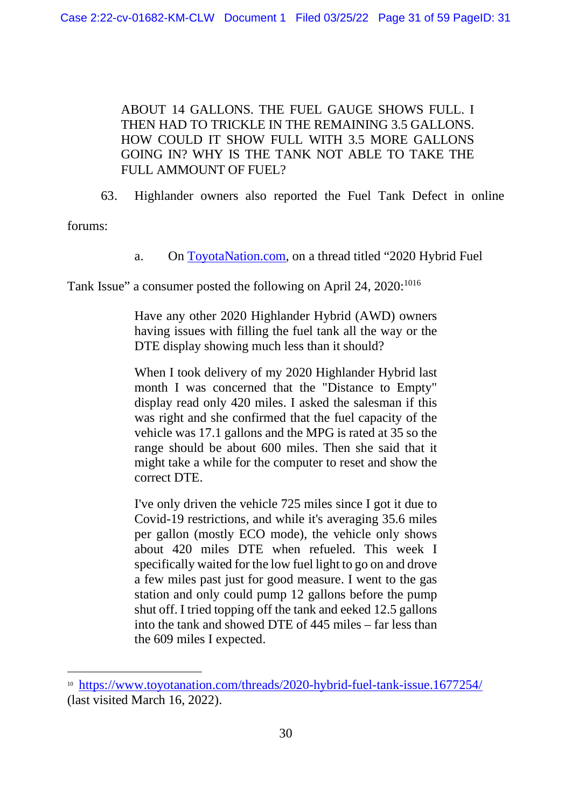ABOUT 14 GALLONS. THE FUEL GAUGE SHOWS FULL. I THEN HAD TO TRICKLE IN THE REMAINING 3.5 GALLONS. HOW COULD IT SHOW FULL WITH 3.5 MORE GALLONS GOING IN? WHY IS THE TANK NOT ABLE TO TAKE THE FULL AMMOUNT OF FUEL?

63. Highlander owners also reported the Fuel Tank Defect in online

forums:

a. On ToyotaNation.com, on a thread titled "2020 Hybrid Fuel

Tank Issue" a consumer posted the following on April 24, 2020:<sup>1016</sup>

Have any other 2020 Highlander Hybrid (AWD) owners having issues with filling the fuel tank all the way or the DTE display showing much less than it should?

When I took delivery of my 2020 Highlander Hybrid last month I was concerned that the "Distance to Empty" display read only 420 miles. I asked the salesman if this was right and she confirmed that the fuel capacity of the vehicle was 17.1 gallons and the MPG is rated at 35 so the range should be about 600 miles. Then she said that it might take a while for the computer to reset and show the correct DTE.

I've only driven the vehicle 725 miles since I got it due to Covid-19 restrictions, and while it's averaging 35.6 miles per gallon (mostly ECO mode), the vehicle only shows about 420 miles DTE when refueled. This week I specifically waited for the low fuel light to go on and drove a few miles past just for good measure. I went to the gas station and only could pump 12 gallons before the pump shut off. I tried topping off the tank and eeked 12.5 gallons into the tank and showed DTE of 445 miles – far less than the 609 miles I expected.

<sup>10</sup> https://www.toyotanation.com/threads/2020-hybrid-fuel-tank-issue.1677254/ (last visited March 16, 2022).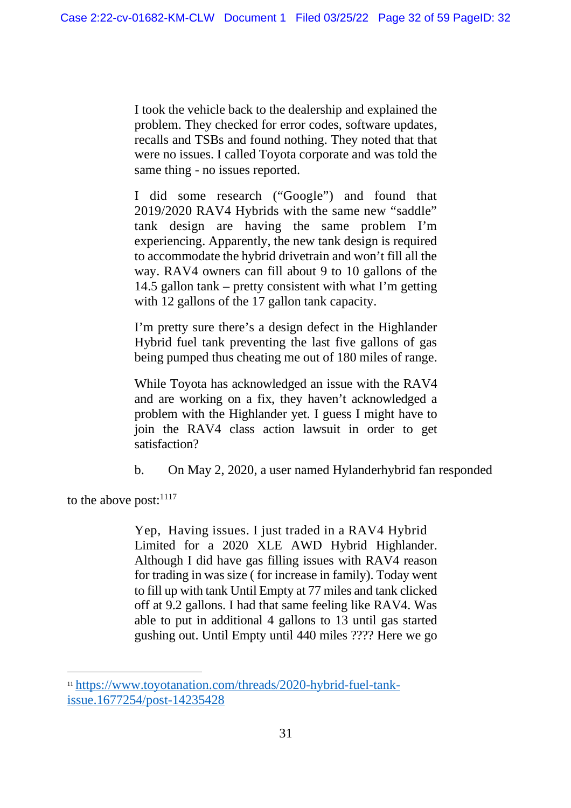I took the vehicle back to the dealership and explained the problem. They checked for error codes, software updates, recalls and TSBs and found nothing. They noted that that were no issues. I called Toyota corporate and was told the same thing - no issues reported.

I did some research ("Google") and found that 2019/2020 RAV4 Hybrids with the same new "saddle" tank design are having the same problem I'm experiencing. Apparently, the new tank design is required to accommodate the hybrid drivetrain and won't fill all the way. RAV4 owners can fill about 9 to 10 gallons of the 14.5 gallon tank – pretty consistent with what I'm getting with 12 gallons of the 17 gallon tank capacity.

I'm pretty sure there's a design defect in the Highlander Hybrid fuel tank preventing the last five gallons of gas being pumped thus cheating me out of 180 miles of range.

While Toyota has acknowledged an issue with the RAV4 and are working on a fix, they haven't acknowledged a problem with the Highlander yet. I guess I might have to join the RAV4 class action lawsuit in order to get satisfaction?

b. On May 2, 2020, a user named Hylanderhybrid fan responded

to the above post: $^{1117}$ 

Yep, Having issues. I just traded in a RAV4 Hybrid Limited for a 2020 XLE AWD Hybrid Highlander. Although I did have gas filling issues with RAV4 reason for trading in was size ( for increase in family). Today went to fill up with tank Until Empty at 77 miles and tank clicked off at 9.2 gallons. I had that same feeling like RAV4. Was able to put in additional 4 gallons to 13 until gas started gushing out. Until Empty until 440 miles ???? Here we go

<sup>11</sup> https://www.toyotanation.com/threads/2020-hybrid-fuel-tankissue.1677254/post-14235428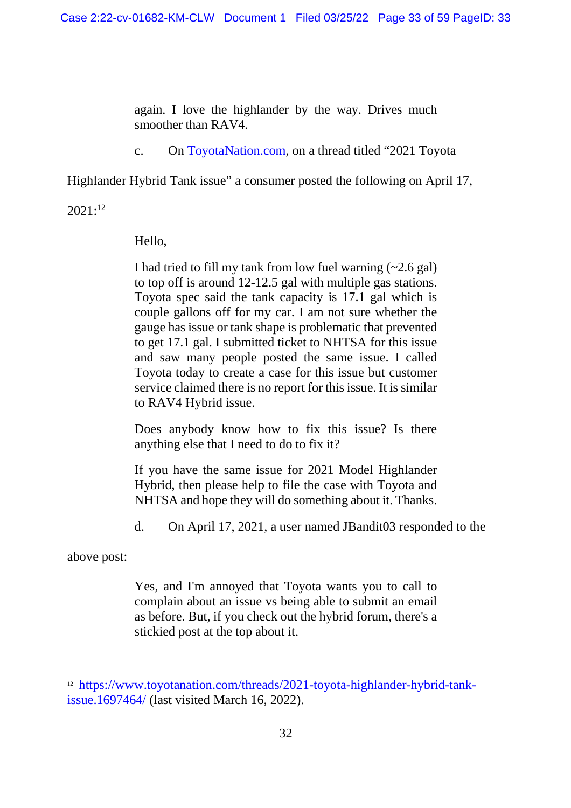again. I love the highlander by the way. Drives much smoother than RAV4.

c. On ToyotaNation.com, on a thread titled "2021 Toyota

Highlander Hybrid Tank issue" a consumer posted the following on April 17,

 $2021:^{12}$ 

Hello,

I had tried to fill my tank from low fuel warning  $(-2.6 \text{ gal})$ to top off is around 12-12.5 gal with multiple gas stations. Toyota spec said the tank capacity is 17.1 gal which is couple gallons off for my car. I am not sure whether the gauge has issue or tank shape is problematic that prevented to get 17.1 gal. I submitted ticket to NHTSA for this issue and saw many people posted the same issue. I called Toyota today to create a case for this issue but customer service claimed there is no report for this issue. It is similar to RAV4 Hybrid issue.

Does anybody know how to fix this issue? Is there anything else that I need to do to fix it?

If you have the same issue for 2021 Model Highlander Hybrid, then please help to file the case with Toyota and NHTSA and hope they will do something about it. Thanks.

d. On April 17, 2021, a user named JBandit03 responded to the

above post:

Yes, and I'm annoyed that Toyota wants you to call to complain about an issue vs being able to submit an email as before. But, if you check out the hybrid forum, there's a stickied post at the top about it.

<sup>12</sup> https://www.toyotanation.com/threads/2021-toyota-highlander-hybrid-tankissue.1697464/ (last visited March 16, 2022).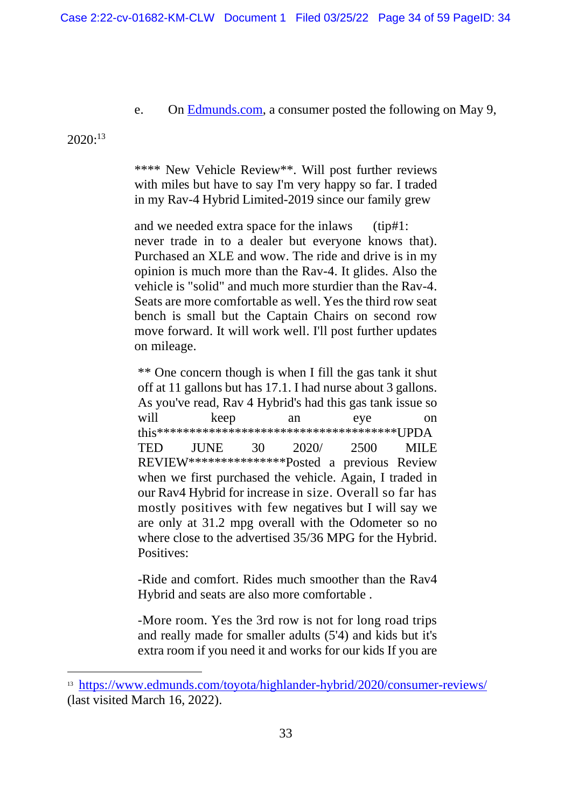e. On Edmunds.com, a consumer posted the following on May 9,

 $2020:^{13}$ 

\*\*\*\* New Vehicle Review\*\*. Will post further reviews with miles but have to say I'm very happy so far. I traded in my Rav-4 Hybrid Limited-2019 since our family grew

and we needed extra space for the inlaws (tip#1: never trade in to a dealer but everyone knows that). Purchased an XLE and wow. The ride and drive is in my opinion is much more than the Rav-4. It glides. Also the vehicle is "solid" and much more sturdier than the Rav-4. Seats are more comfortable as well. Yes the third row seat bench is small but the Captain Chairs on second row move forward. It will work well. I'll post further updates on mileage.

\*\* One concern though is when I fill the gas tank it shut off at 11 gallons but has 17.1. I had nurse about 3 gallons. As you've read, Rav 4 Hybrid's had this gas tank issue so will keep an eye on this\*\*\*\*\*\*\*\*\*\*\*\*\*\*\*\*\*\*\*\*\*\*\*\*\*\*\*\*\*\*\*\*\*\*\*\*\*UPDA TED JUNE 30 2020/ 2500 MILE REVIEW\*\*\*\*\*\*\*\*\*\*\*\*\*\*\*Posted a previous Review when we first purchased the vehicle. Again, I traded in our Rav4 Hybrid for increase in size. Overall so far has mostly positives with few negatives but I will say we are only at 31.2 mpg overall with the Odometer so no where close to the advertised 35/36 MPG for the Hybrid. Positives<sup>.</sup>

-Ride and comfort. Rides much smoother than the Rav4 Hybrid and seats are also more comfortable .

-More room. Yes the 3rd row is not for long road trips and really made for smaller adults (5'4) and kids but it's extra room if you need it and works for our kids If you are

<sup>13</sup> https://www.edmunds.com/toyota/highlander-hybrid/2020/consumer-reviews/ (last visited March 16, 2022).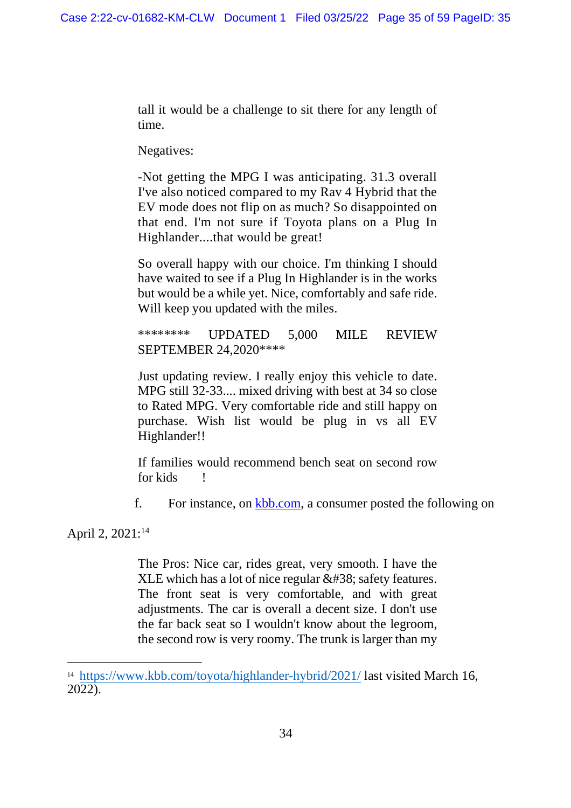tall it would be a challenge to sit there for any length of time.

Negatives:

-Not getting the MPG I was anticipating. 31.3 overall I've also noticed compared to my Rav 4 Hybrid that the EV mode does not flip on as much? So disappointed on that end. I'm not sure if Toyota plans on a Plug In Highlander....that would be great!

So overall happy with our choice. I'm thinking I should have waited to see if a Plug In Highlander is in the works but would be a while yet. Nice, comfortably and safe ride. Will keep you updated with the miles.

\*\*\*\*\*\*\*\* UPDATED 5,000 MILE REVIEW SEPTEMBER 24,2020\*\*\*\*

Just updating review. I really enjoy this vehicle to date. MPG still 32-33.... mixed driving with best at 34 so close to Rated MPG. Very comfortable ride and still happy on purchase. Wish list would be plug in vs all EV Highlander!!

If families would recommend bench seat on second row for kids !

f. For instance, on kbb.com, a consumer posted the following on

April 2, 2021:<sup>14</sup>

The Pros: Nice car, rides great, very smooth. I have the XLE which has a lot of nice regular  $&$ ; safety features. The front seat is very comfortable, and with great adjustments. The car is overall a decent size. I don't use the far back seat so I wouldn't know about the legroom, the second row is very roomy. The trunk is larger than my

<sup>&</sup>lt;sup>14</sup> https://www.kbb.com/toyota/highlander-hybrid/2021/ last visited March 16, 2022).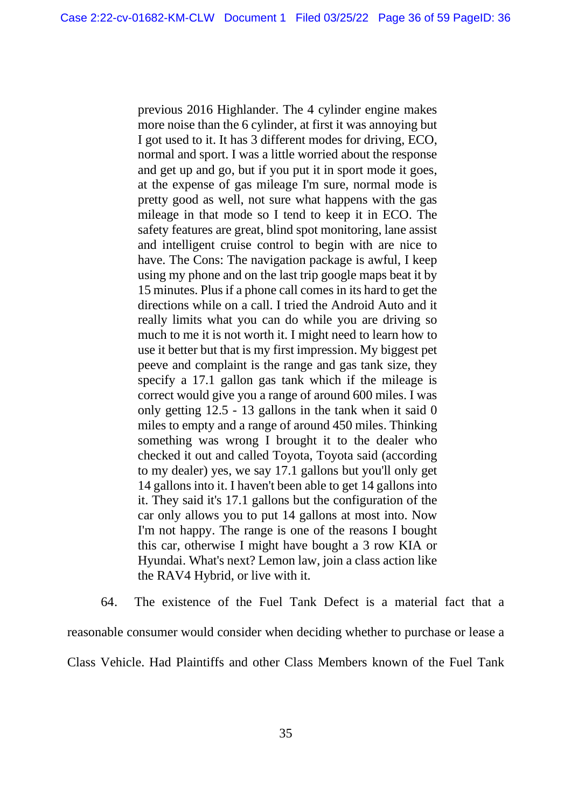previous 2016 Highlander. The 4 cylinder engine makes more noise than the 6 cylinder, at first it was annoying but I got used to it. It has 3 different modes for driving, ECO, normal and sport. I was a little worried about the response and get up and go, but if you put it in sport mode it goes, at the expense of gas mileage I'm sure, normal mode is pretty good as well, not sure what happens with the gas mileage in that mode so I tend to keep it in ECO. The safety features are great, blind spot monitoring, lane assist and intelligent cruise control to begin with are nice to have. The Cons: The navigation package is awful, I keep using my phone and on the last trip google maps beat it by 15 minutes. Plus if a phone call comes in its hard to get the directions while on a call. I tried the Android Auto and it really limits what you can do while you are driving so much to me it is not worth it. I might need to learn how to use it better but that is my first impression. My biggest pet peeve and complaint is the range and gas tank size, they specify a 17.1 gallon gas tank which if the mileage is correct would give you a range of around 600 miles. I was only getting 12.5 - 13 gallons in the tank when it said 0 miles to empty and a range of around 450 miles. Thinking something was wrong I brought it to the dealer who checked it out and called Toyota, Toyota said (according to my dealer) yes, we say 17.1 gallons but you'll only get 14 gallons into it. I haven't been able to get 14 gallons into it. They said it's 17.1 gallons but the configuration of the car only allows you to put 14 gallons at most into. Now I'm not happy. The range is one of the reasons I bought this car, otherwise I might have bought a 3 row KIA or Hyundai. What's next? Lemon law, join a class action like the RAV4 Hybrid, or live with it.

64. The existence of the Fuel Tank Defect is a material fact that a reasonable consumer would consider when deciding whether to purchase or lease a Class Vehicle. Had Plaintiffs and other Class Members known of the Fuel Tank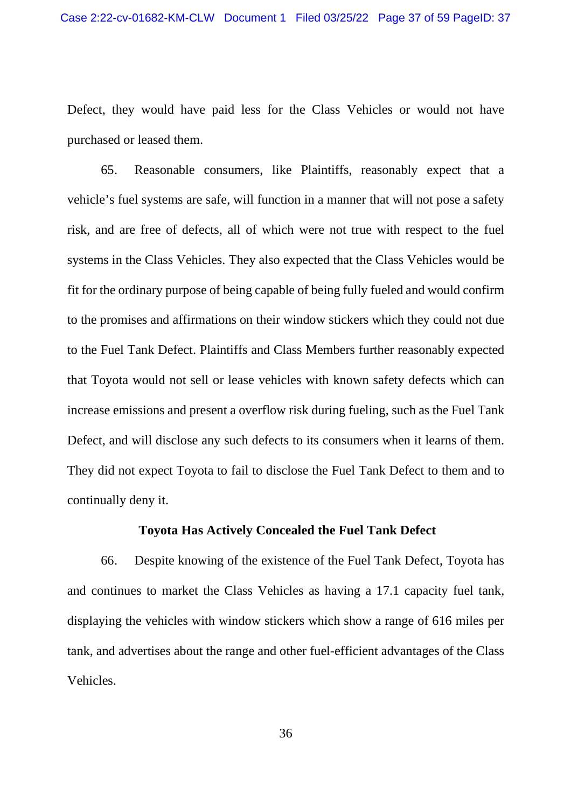Defect, they would have paid less for the Class Vehicles or would not have purchased or leased them.

65. Reasonable consumers, like Plaintiffs, reasonably expect that a vehicle's fuel systems are safe, will function in a manner that will not pose a safety risk, and are free of defects, all of which were not true with respect to the fuel systems in the Class Vehicles. They also expected that the Class Vehicles would be fit for the ordinary purpose of being capable of being fully fueled and would confirm to the promises and affirmations on their window stickers which they could not due to the Fuel Tank Defect. Plaintiffs and Class Members further reasonably expected that Toyota would not sell or lease vehicles with known safety defects which can increase emissions and present a overflow risk during fueling, such as the Fuel Tank Defect, and will disclose any such defects to its consumers when it learns of them. They did not expect Toyota to fail to disclose the Fuel Tank Defect to them and to continually deny it.

#### **Toyota Has Actively Concealed the Fuel Tank Defect**

66. Despite knowing of the existence of the Fuel Tank Defect, Toyota has and continues to market the Class Vehicles as having a 17.1 capacity fuel tank, displaying the vehicles with window stickers which show a range of 616 miles per tank, and advertises about the range and other fuel-efficient advantages of the Class Vehicles.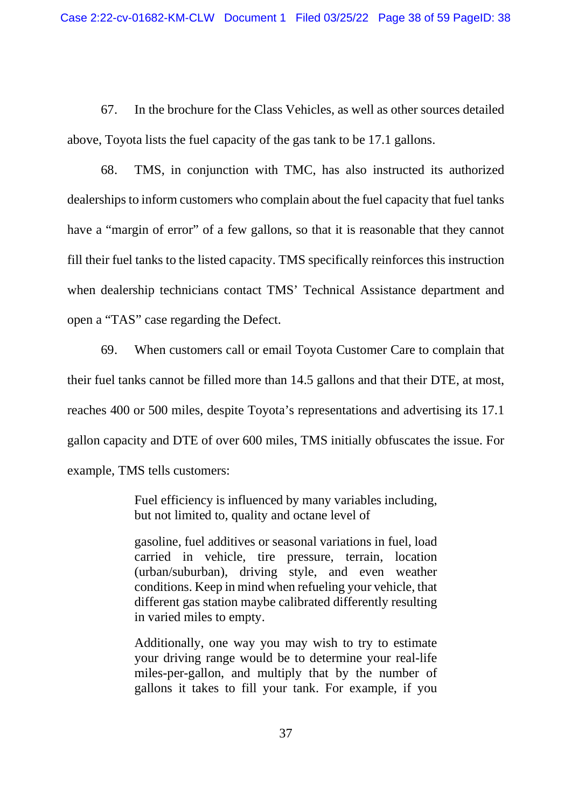67. In the brochure for the Class Vehicles, as well as other sources detailed above, Toyota lists the fuel capacity of the gas tank to be 17.1 gallons.

68. TMS, in conjunction with TMC, has also instructed its authorized dealerships to inform customers who complain about the fuel capacity that fuel tanks have a "margin of error" of a few gallons, so that it is reasonable that they cannot fill their fuel tanks to the listed capacity. TMS specifically reinforces this instruction when dealership technicians contact TMS' Technical Assistance department and open a "TAS" case regarding the Defect.

69. When customers call or email Toyota Customer Care to complain that their fuel tanks cannot be filled more than 14.5 gallons and that their DTE, at most, reaches 400 or 500 miles, despite Toyota's representations and advertising its 17.1 gallon capacity and DTE of over 600 miles, TMS initially obfuscates the issue. For example, TMS tells customers:

> Fuel efficiency is influenced by many variables including, but not limited to, quality and octane level of

> gasoline, fuel additives or seasonal variations in fuel, load carried in vehicle, tire pressure, terrain, location (urban/suburban), driving style, and even weather conditions. Keep in mind when refueling your vehicle, that different gas station maybe calibrated differently resulting in varied miles to empty.

> Additionally, one way you may wish to try to estimate your driving range would be to determine your real-life miles-per-gallon, and multiply that by the number of gallons it takes to fill your tank. For example, if you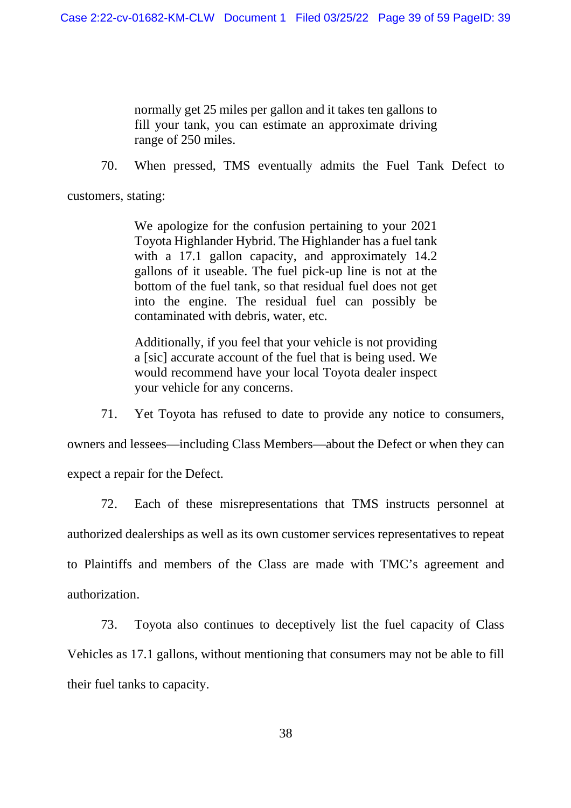normally get 25 miles per gallon and it takes ten gallons to fill your tank, you can estimate an approximate driving range of 250 miles.

70. When pressed, TMS eventually admits the Fuel Tank Defect to

customers, stating:

We apologize for the confusion pertaining to your 2021 Toyota Highlander Hybrid. The Highlander has a fuel tank with a 17.1 gallon capacity, and approximately 14.2 gallons of it useable. The fuel pick-up line is not at the bottom of the fuel tank, so that residual fuel does not get into the engine. The residual fuel can possibly be contaminated with debris, water, etc.

Additionally, if you feel that your vehicle is not providing a [sic] accurate account of the fuel that is being used. We would recommend have your local Toyota dealer inspect your vehicle for any concerns.

71. Yet Toyota has refused to date to provide any notice to consumers,

owners and lessees—including Class Members—about the Defect or when they can expect a repair for the Defect.

72. Each of these misrepresentations that TMS instructs personnel at authorized dealerships as well as its own customer services representatives to repeat to Plaintiffs and members of the Class are made with TMC's agreement and authorization.

73. Toyota also continues to deceptively list the fuel capacity of Class Vehicles as 17.1 gallons, without mentioning that consumers may not be able to fill their fuel tanks to capacity.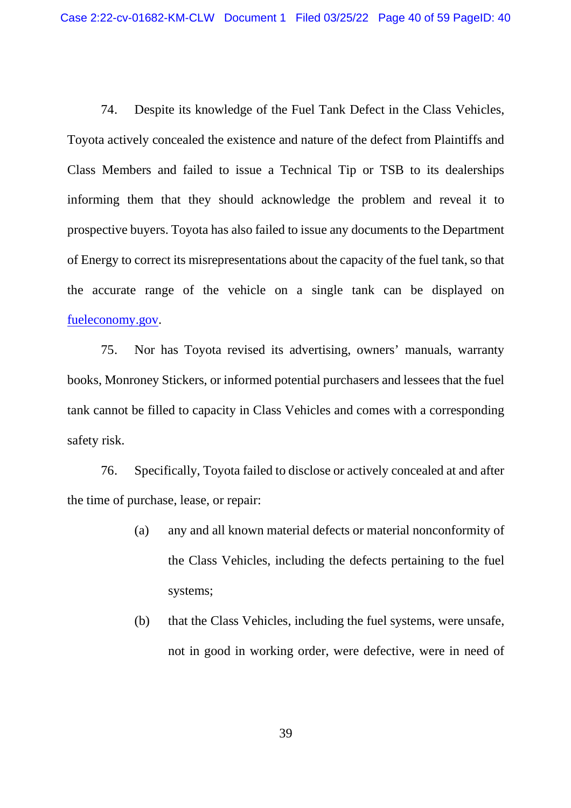74. Despite its knowledge of the Fuel Tank Defect in the Class Vehicles, Toyota actively concealed the existence and nature of the defect from Plaintiffs and Class Members and failed to issue a Technical Tip or TSB to its dealerships informing them that they should acknowledge the problem and reveal it to prospective buyers. Toyota has also failed to issue any documents to the Department of Energy to correct its misrepresentations about the capacity of the fuel tank, so that the accurate range of the vehicle on a single tank can be displayed on fueleconomy.gov.

75. Nor has Toyota revised its advertising, owners' manuals, warranty books, Monroney Stickers, or informed potential purchasers and lessees that the fuel tank cannot be filled to capacity in Class Vehicles and comes with a corresponding safety risk.

76. Specifically, Toyota failed to disclose or actively concealed at and after the time of purchase, lease, or repair:

- (a) any and all known material defects or material nonconformity of the Class Vehicles, including the defects pertaining to the fuel systems;
- (b) that the Class Vehicles, including the fuel systems, were unsafe, not in good in working order, were defective, were in need of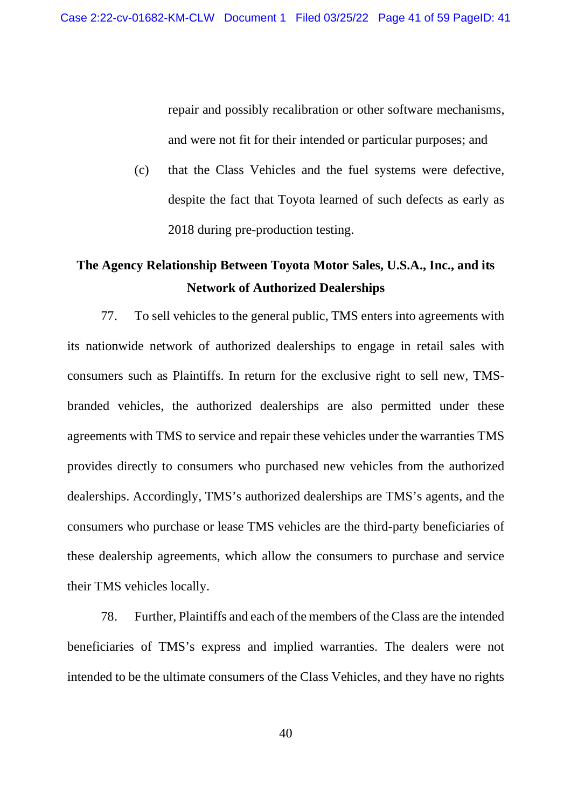repair and possibly recalibration or other software mechanisms, and were not fit for their intended or particular purposes; and

(c) that the Class Vehicles and the fuel systems were defective, despite the fact that Toyota learned of such defects as early as 2018 during pre-production testing.

# **The Agency Relationship Between Toyota Motor Sales, U.S.A., Inc., and its Network of Authorized Dealerships**

77. To sell vehicles to the general public, TMS enters into agreements with its nationwide network of authorized dealerships to engage in retail sales with consumers such as Plaintiffs. In return for the exclusive right to sell new, TMSbranded vehicles, the authorized dealerships are also permitted under these agreements with TMS to service and repair these vehicles under the warranties TMS provides directly to consumers who purchased new vehicles from the authorized dealerships. Accordingly, TMS's authorized dealerships are TMS's agents, and the consumers who purchase or lease TMS vehicles are the third-party beneficiaries of these dealership agreements, which allow the consumers to purchase and service their TMS vehicles locally.

78. Further, Plaintiffs and each of the members of the Class are the intended beneficiaries of TMS's express and implied warranties. The dealers were not intended to be the ultimate consumers of the Class Vehicles, and they have no rights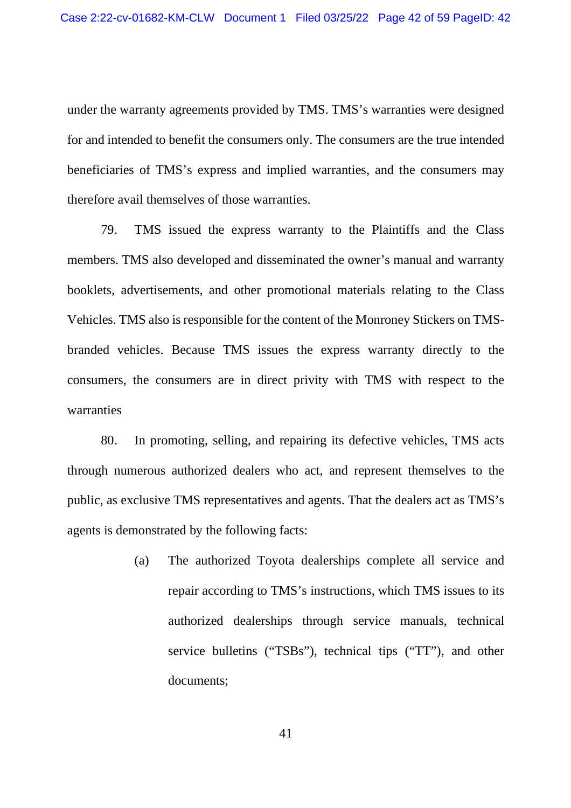under the warranty agreements provided by TMS. TMS's warranties were designed for and intended to benefit the consumers only. The consumers are the true intended beneficiaries of TMS's express and implied warranties, and the consumers may therefore avail themselves of those warranties.

79. TMS issued the express warranty to the Plaintiffs and the Class members. TMS also developed and disseminated the owner's manual and warranty booklets, advertisements, and other promotional materials relating to the Class Vehicles. TMS also is responsible for the content of the Monroney Stickers on TMSbranded vehicles. Because TMS issues the express warranty directly to the consumers, the consumers are in direct privity with TMS with respect to the warranties

80. In promoting, selling, and repairing its defective vehicles, TMS acts through numerous authorized dealers who act, and represent themselves to the public, as exclusive TMS representatives and agents. That the dealers act as TMS's agents is demonstrated by the following facts:

> (a) The authorized Toyota dealerships complete all service and repair according to TMS's instructions, which TMS issues to its authorized dealerships through service manuals, technical service bulletins ("TSBs"), technical tips ("TT"), and other documents;

> > 41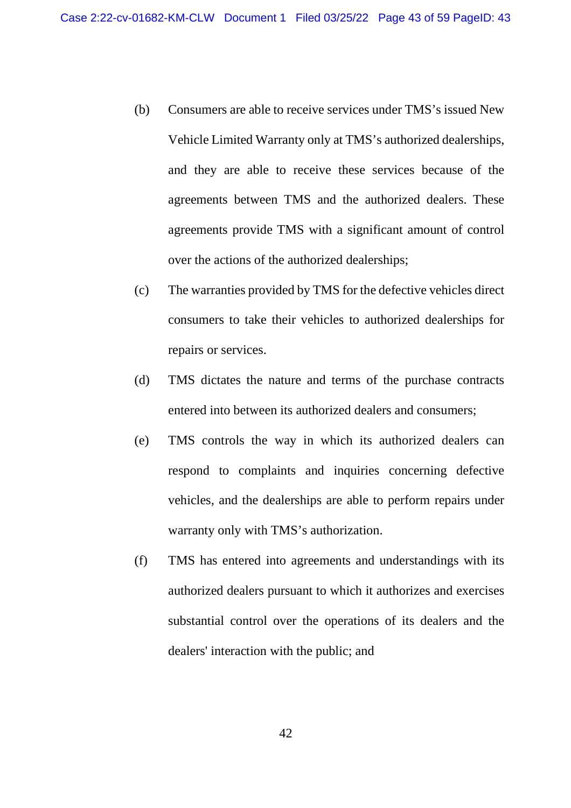- (b) Consumers are able to receive services under TMS's issued New Vehicle Limited Warranty only at TMS's authorized dealerships, and they are able to receive these services because of the agreements between TMS and the authorized dealers. These agreements provide TMS with a significant amount of control over the actions of the authorized dealerships;
- (c) The warranties provided by TMS for the defective vehicles direct consumers to take their vehicles to authorized dealerships for repairs or services.
- (d) TMS dictates the nature and terms of the purchase contracts entered into between its authorized dealers and consumers;
- (e) TMS controls the way in which its authorized dealers can respond to complaints and inquiries concerning defective vehicles, and the dealerships are able to perform repairs under warranty only with TMS's authorization.
- (f) TMS has entered into agreements and understandings with its authorized dealers pursuant to which it authorizes and exercises substantial control over the operations of its dealers and the dealers' interaction with the public; and

42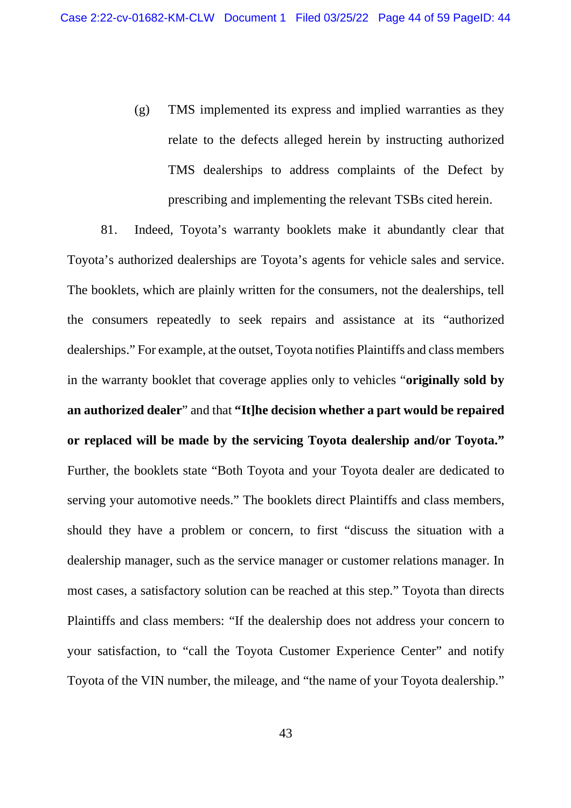(g) TMS implemented its express and implied warranties as they relate to the defects alleged herein by instructing authorized TMS dealerships to address complaints of the Defect by prescribing and implementing the relevant TSBs cited herein.

81. Indeed, Toyota's warranty booklets make it abundantly clear that Toyota's authorized dealerships are Toyota's agents for vehicle sales and service. The booklets, which are plainly written for the consumers, not the dealerships, tell the consumers repeatedly to seek repairs and assistance at its "authorized dealerships." For example, at the outset, Toyota notifies Plaintiffs and class members in the warranty booklet that coverage applies only to vehicles "**originally sold by an authorized dealer**" and that **"It]he decision whether a part would be repaired or replaced will be made by the servicing Toyota dealership and/or Toyota."** Further, the booklets state "Both Toyota and your Toyota dealer are dedicated to serving your automotive needs." The booklets direct Plaintiffs and class members, should they have a problem or concern, to first "discuss the situation with a dealership manager, such as the service manager or customer relations manager. In most cases, a satisfactory solution can be reached at this step." Toyota than directs Plaintiffs and class members: "If the dealership does not address your concern to your satisfaction, to "call the Toyota Customer Experience Center" and notify Toyota of the VIN number, the mileage, and "the name of your Toyota dealership."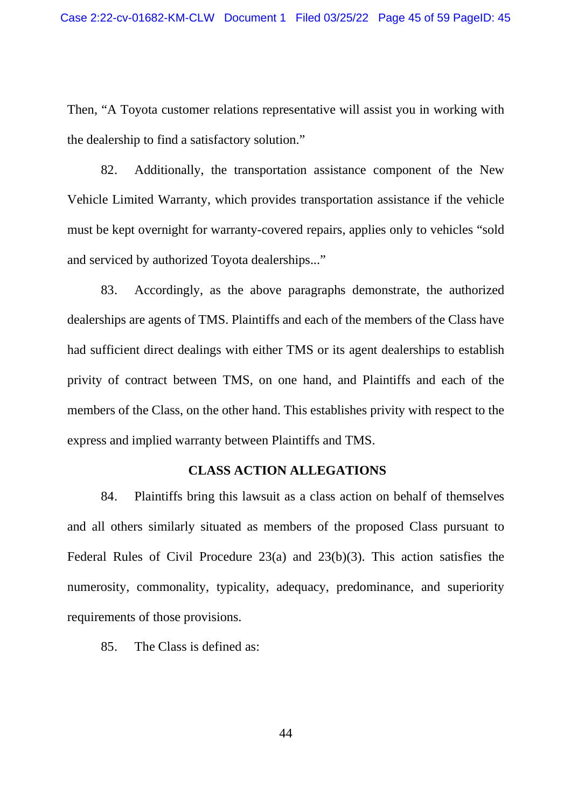Then, "A Toyota customer relations representative will assist you in working with the dealership to find a satisfactory solution."

82. Additionally, the transportation assistance component of the New Vehicle Limited Warranty, which provides transportation assistance if the vehicle must be kept overnight for warranty-covered repairs, applies only to vehicles "sold and serviced by authorized Toyota dealerships..."

83. Accordingly, as the above paragraphs demonstrate, the authorized dealerships are agents of TMS. Plaintiffs and each of the members of the Class have had sufficient direct dealings with either TMS or its agent dealerships to establish privity of contract between TMS, on one hand, and Plaintiffs and each of the members of the Class, on the other hand. This establishes privity with respect to the express and implied warranty between Plaintiffs and TMS.

## **CLASS ACTION ALLEGATIONS**

84. Plaintiffs bring this lawsuit as a class action on behalf of themselves and all others similarly situated as members of the proposed Class pursuant to Federal Rules of Civil Procedure 23(a) and 23(b)(3). This action satisfies the numerosity, commonality, typicality, adequacy, predominance, and superiority requirements of those provisions.

85. The Class is defined as: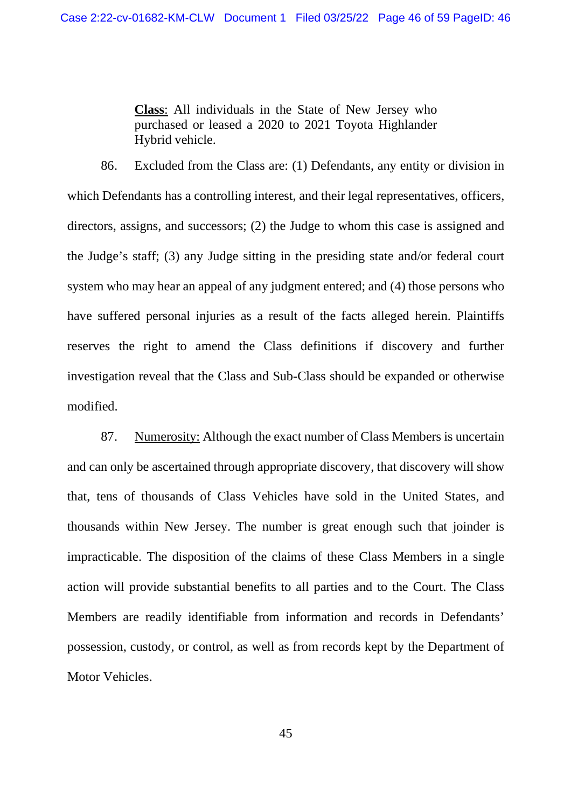**Class**: All individuals in the State of New Jersey who purchased or leased a 2020 to 2021 Toyota Highlander Hybrid vehicle.

86. Excluded from the Class are: (1) Defendants, any entity or division in which Defendants has a controlling interest, and their legal representatives, officers, directors, assigns, and successors; (2) the Judge to whom this case is assigned and the Judge's staff; (3) any Judge sitting in the presiding state and/or federal court system who may hear an appeal of any judgment entered; and (4) those persons who have suffered personal injuries as a result of the facts alleged herein. Plaintiffs reserves the right to amend the Class definitions if discovery and further investigation reveal that the Class and Sub-Class should be expanded or otherwise modified.

87. Numerosity: Although the exact number of Class Members is uncertain and can only be ascertained through appropriate discovery, that discovery will show that, tens of thousands of Class Vehicles have sold in the United States, and thousands within New Jersey. The number is great enough such that joinder is impracticable. The disposition of the claims of these Class Members in a single action will provide substantial benefits to all parties and to the Court. The Class Members are readily identifiable from information and records in Defendants' possession, custody, or control, as well as from records kept by the Department of Motor Vehicles.

45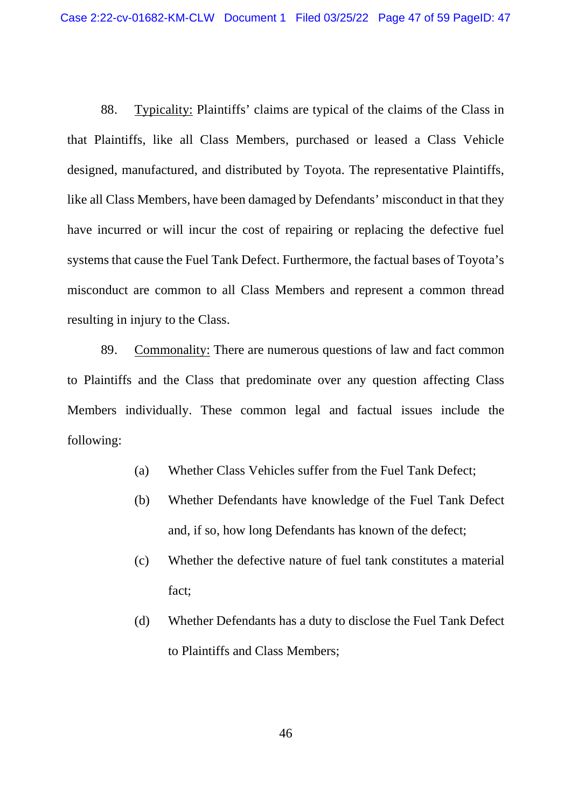88. Typicality: Plaintiffs' claims are typical of the claims of the Class in that Plaintiffs, like all Class Members, purchased or leased a Class Vehicle designed, manufactured, and distributed by Toyota. The representative Plaintiffs, like all Class Members, have been damaged by Defendants' misconduct in that they have incurred or will incur the cost of repairing or replacing the defective fuel systems that cause the Fuel Tank Defect. Furthermore, the factual bases of Toyota's misconduct are common to all Class Members and represent a common thread resulting in injury to the Class.

89. Commonality: There are numerous questions of law and fact common to Plaintiffs and the Class that predominate over any question affecting Class Members individually. These common legal and factual issues include the following:

- (a) Whether Class Vehicles suffer from the Fuel Tank Defect;
- (b) Whether Defendants have knowledge of the Fuel Tank Defect and, if so, how long Defendants has known of the defect;
- (c) Whether the defective nature of fuel tank constitutes a material fact;
- (d) Whether Defendants has a duty to disclose the Fuel Tank Defect to Plaintiffs and Class Members;

46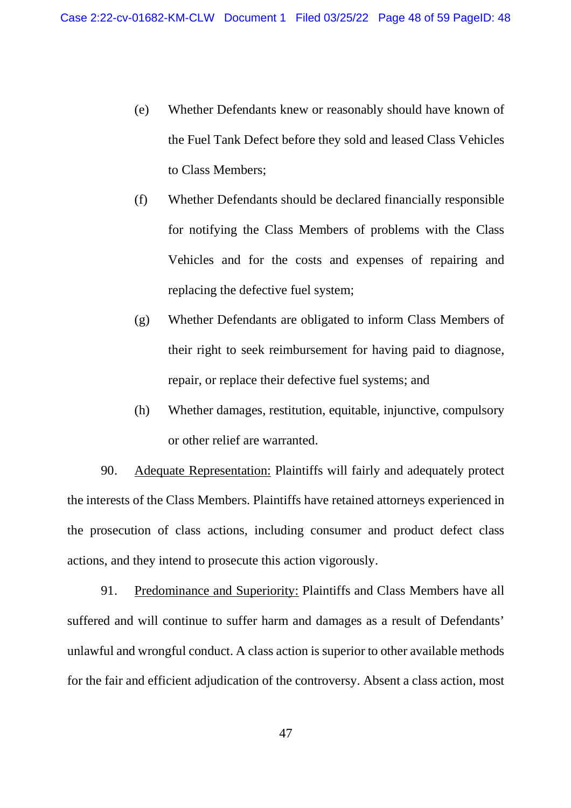- (e) Whether Defendants knew or reasonably should have known of the Fuel Tank Defect before they sold and leased Class Vehicles to Class Members;
- (f) Whether Defendants should be declared financially responsible for notifying the Class Members of problems with the Class Vehicles and for the costs and expenses of repairing and replacing the defective fuel system;
- (g) Whether Defendants are obligated to inform Class Members of their right to seek reimbursement for having paid to diagnose, repair, or replace their defective fuel systems; and
- (h) Whether damages, restitution, equitable, injunctive, compulsory or other relief are warranted.

90. Adequate Representation: Plaintiffs will fairly and adequately protect the interests of the Class Members. Plaintiffs have retained attorneys experienced in the prosecution of class actions, including consumer and product defect class actions, and they intend to prosecute this action vigorously.

91. Predominance and Superiority: Plaintiffs and Class Members have all suffered and will continue to suffer harm and damages as a result of Defendants' unlawful and wrongful conduct. A class action is superior to other available methods for the fair and efficient adjudication of the controversy. Absent a class action, most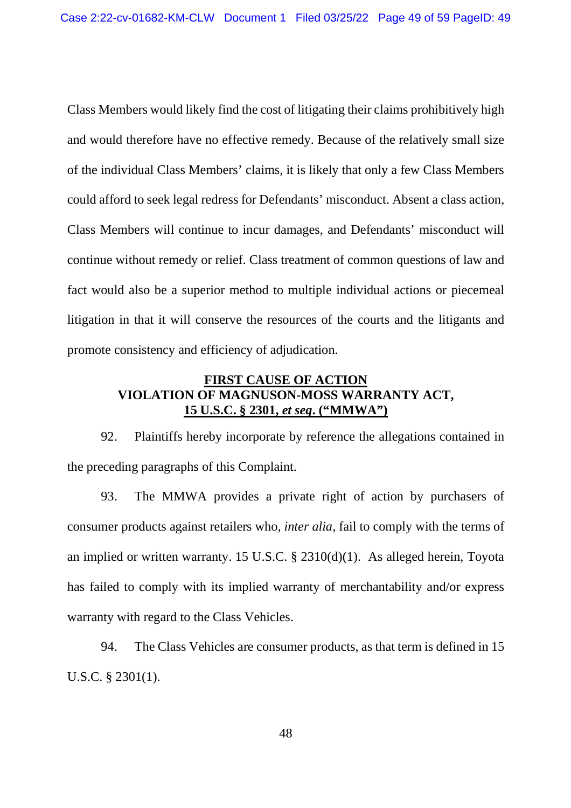Class Members would likely find the cost of litigating their claims prohibitively high and would therefore have no effective remedy. Because of the relatively small size of the individual Class Members' claims, it is likely that only a few Class Members could afford to seek legal redress for Defendants' misconduct. Absent a class action, Class Members will continue to incur damages, and Defendants' misconduct will continue without remedy or relief. Class treatment of common questions of law and fact would also be a superior method to multiple individual actions or piecemeal litigation in that it will conserve the resources of the courts and the litigants and promote consistency and efficiency of adjudication.

## **FIRST CAUSE OF ACTION VIOLATION OF MAGNUSON-MOSS WARRANTY ACT, 15 U.S.C. § 2301,** *et seq***. ("MMWA")**

92. Plaintiffs hereby incorporate by reference the allegations contained in the preceding paragraphs of this Complaint.

93. The MMWA provides a private right of action by purchasers of consumer products against retailers who, *inter alia*, fail to comply with the terms of an implied or written warranty. 15 U.S.C. § 2310(d)(1). As alleged herein, Toyota has failed to comply with its implied warranty of merchantability and/or express warranty with regard to the Class Vehicles.

94. The Class Vehicles are consumer products, as that term is defined in 15 U.S.C. § 2301(1).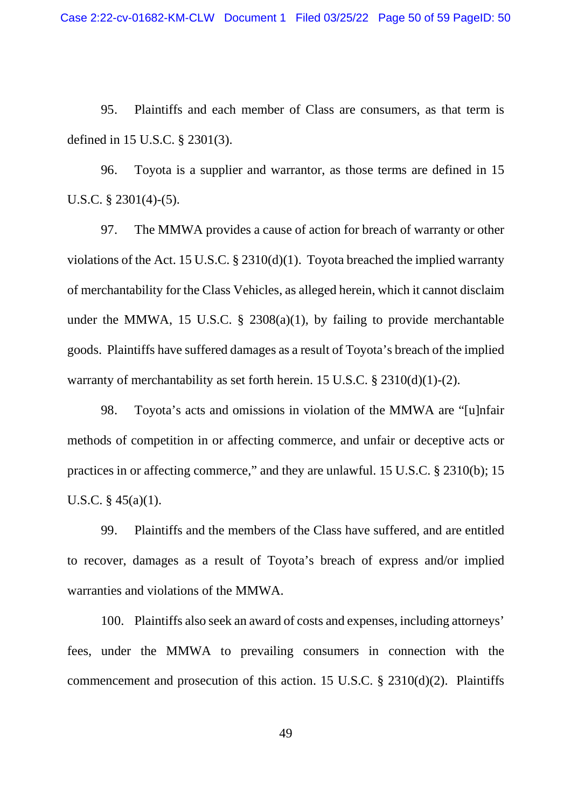95. Plaintiffs and each member of Class are consumers, as that term is defined in 15 U.S.C. § 2301(3).

96. Toyota is a supplier and warrantor, as those terms are defined in 15 U.S.C. § 2301(4)-(5).

97. The MMWA provides a cause of action for breach of warranty or other violations of the Act. 15 U.S.C. § 2310(d)(1). Toyota breached the implied warranty of merchantability for the Class Vehicles, as alleged herein, which it cannot disclaim under the MMWA, 15 U.S.C.  $\S$  2308(a)(1), by failing to provide merchantable goods. Plaintiffs have suffered damages as a result of Toyota's breach of the implied warranty of merchantability as set forth herein. 15 U.S.C. § 2310(d)(1)-(2).

98. Toyota's acts and omissions in violation of the MMWA are "[u]nfair methods of competition in or affecting commerce, and unfair or deceptive acts or practices in or affecting commerce," and they are unlawful. 15 U.S.C. § 2310(b); 15 U.S.C. § 45(a)(1).

99. Plaintiffs and the members of the Class have suffered, and are entitled to recover, damages as a result of Toyota's breach of express and/or implied warranties and violations of the MMWA.

100. Plaintiffs also seek an award of costs and expenses, including attorneys' fees, under the MMWA to prevailing consumers in connection with the commencement and prosecution of this action. 15 U.S.C. § 2310(d)(2). Plaintiffs

49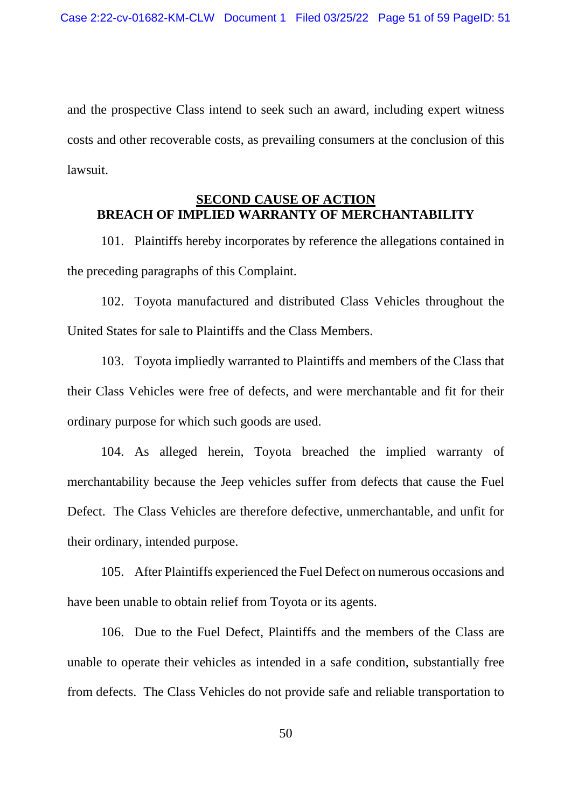and the prospective Class intend to seek such an award, including expert witness costs and other recoverable costs, as prevailing consumers at the conclusion of this lawsuit.

#### **SECOND CAUSE OF ACTION BREACH OF IMPLIED WARRANTY OF MERCHANTABILITY**

101. Plaintiffs hereby incorporates by reference the allegations contained in the preceding paragraphs of this Complaint.

102. Toyota manufactured and distributed Class Vehicles throughout the United States for sale to Plaintiffs and the Class Members.

103. Toyota impliedly warranted to Plaintiffs and members of the Class that their Class Vehicles were free of defects, and were merchantable and fit for their ordinary purpose for which such goods are used.

104. As alleged herein, Toyota breached the implied warranty of merchantability because the Jeep vehicles suffer from defects that cause the Fuel Defect. The Class Vehicles are therefore defective, unmerchantable, and unfit for their ordinary, intended purpose.

105. After Plaintiffs experienced the Fuel Defect on numerous occasions and have been unable to obtain relief from Toyota or its agents.

106. Due to the Fuel Defect, Plaintiffs and the members of the Class are unable to operate their vehicles as intended in a safe condition, substantially free from defects. The Class Vehicles do not provide safe and reliable transportation to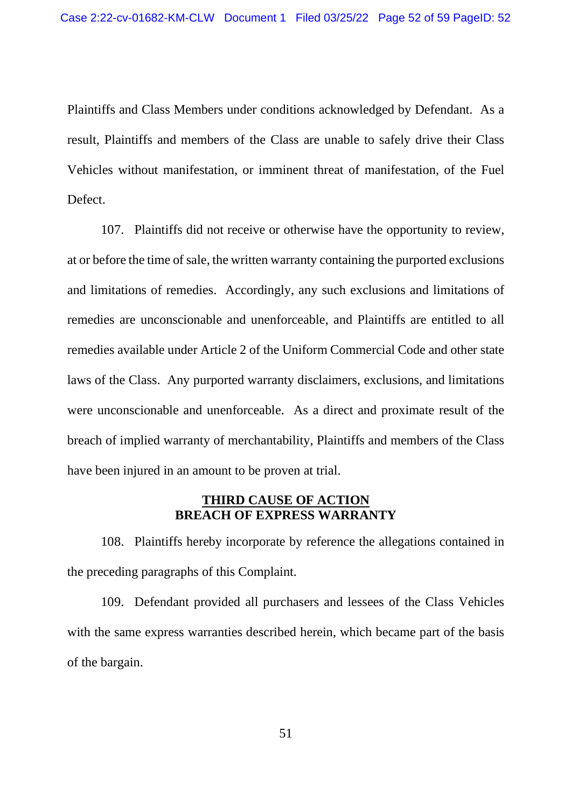Plaintiffs and Class Members under conditions acknowledged by Defendant. As a result, Plaintiffs and members of the Class are unable to safely drive their Class Vehicles without manifestation, or imminent threat of manifestation, of the Fuel Defect.

107. Plaintiffs did not receive or otherwise have the opportunity to review, at or before the time of sale, the written warranty containing the purported exclusions and limitations of remedies. Accordingly, any such exclusions and limitations of remedies are unconscionable and unenforceable, and Plaintiffs are entitled to all remedies available under Article 2 of the Uniform Commercial Code and other state laws of the Class. Any purported warranty disclaimers, exclusions, and limitations were unconscionable and unenforceable. As a direct and proximate result of the breach of implied warranty of merchantability, Plaintiffs and members of the Class have been injured in an amount to be proven at trial.

#### **THIRD CAUSE OF ACTION BREACH OF EXPRESS WARRANTY**

108. Plaintiffs hereby incorporate by reference the allegations contained in the preceding paragraphs of this Complaint.

109. Defendant provided all purchasers and lessees of the Class Vehicles with the same express warranties described herein, which became part of the basis of the bargain.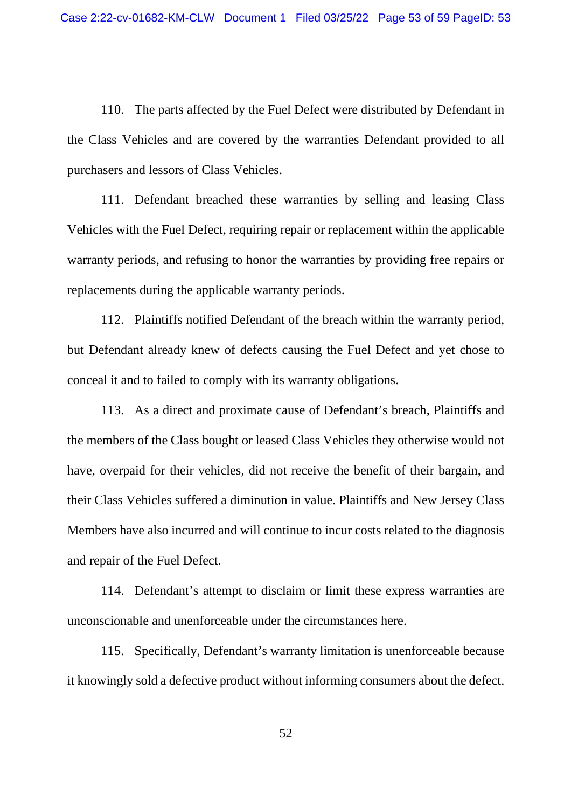110. The parts affected by the Fuel Defect were distributed by Defendant in the Class Vehicles and are covered by the warranties Defendant provided to all purchasers and lessors of Class Vehicles.

111. Defendant breached these warranties by selling and leasing Class Vehicles with the Fuel Defect, requiring repair or replacement within the applicable warranty periods, and refusing to honor the warranties by providing free repairs or replacements during the applicable warranty periods.

112. Plaintiffs notified Defendant of the breach within the warranty period, but Defendant already knew of defects causing the Fuel Defect and yet chose to conceal it and to failed to comply with its warranty obligations.

113. As a direct and proximate cause of Defendant's breach, Plaintiffs and the members of the Class bought or leased Class Vehicles they otherwise would not have, overpaid for their vehicles, did not receive the benefit of their bargain, and their Class Vehicles suffered a diminution in value. Plaintiffs and New Jersey Class Members have also incurred and will continue to incur costs related to the diagnosis and repair of the Fuel Defect.

114. Defendant's attempt to disclaim or limit these express warranties are unconscionable and unenforceable under the circumstances here.

115. Specifically, Defendant's warranty limitation is unenforceable because it knowingly sold a defective product without informing consumers about the defect.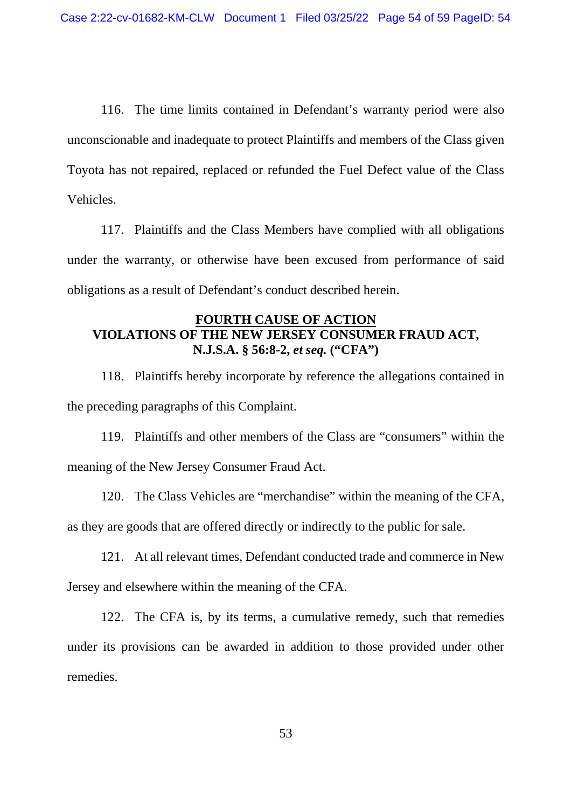116. The time limits contained in Defendant's warranty period were also unconscionable and inadequate to protect Plaintiffs and members of the Class given Toyota has not repaired, replaced or refunded the Fuel Defect value of the Class Vehicles.

117. Plaintiffs and the Class Members have complied with all obligations under the warranty, or otherwise have been excused from performance of said obligations as a result of Defendant's conduct described herein.

## **FOURTH CAUSE OF ACTION VIOLATIONS OF THE NEW JERSEY CONSUMER FRAUD ACT, N.J.S.A. § 56:8-2,** *et seq.* **("CFA")**

118. Plaintiffs hereby incorporate by reference the allegations contained in the preceding paragraphs of this Complaint.

119. Plaintiffs and other members of the Class are "consumers" within the meaning of the New Jersey Consumer Fraud Act.

120. The Class Vehicles are "merchandise" within the meaning of the CFA, as they are goods that are offered directly or indirectly to the public for sale.

121. At all relevant times, Defendant conducted trade and commerce in New Jersey and elsewhere within the meaning of the CFA.

122. The CFA is, by its terms, a cumulative remedy, such that remedies under its provisions can be awarded in addition to those provided under other remedies.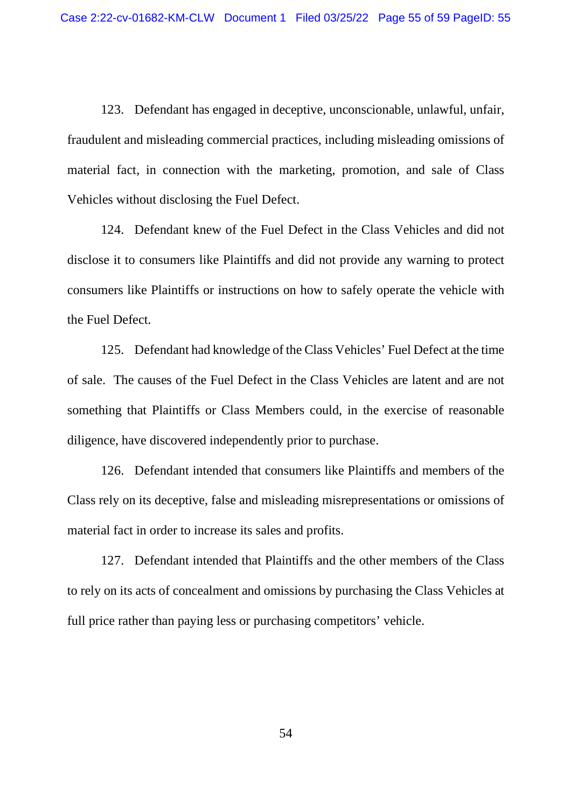123. Defendant has engaged in deceptive, unconscionable, unlawful, unfair, fraudulent and misleading commercial practices, including misleading omissions of material fact, in connection with the marketing, promotion, and sale of Class Vehicles without disclosing the Fuel Defect.

124. Defendant knew of the Fuel Defect in the Class Vehicles and did not disclose it to consumers like Plaintiffs and did not provide any warning to protect consumers like Plaintiffs or instructions on how to safely operate the vehicle with the Fuel Defect.

125. Defendant had knowledge of the Class Vehicles' Fuel Defect at the time of sale. The causes of the Fuel Defect in the Class Vehicles are latent and are not something that Plaintiffs or Class Members could, in the exercise of reasonable diligence, have discovered independently prior to purchase.

126. Defendant intended that consumers like Plaintiffs and members of the Class rely on its deceptive, false and misleading misrepresentations or omissions of material fact in order to increase its sales and profits.

127. Defendant intended that Plaintiffs and the other members of the Class to rely on its acts of concealment and omissions by purchasing the Class Vehicles at full price rather than paying less or purchasing competitors' vehicle.

54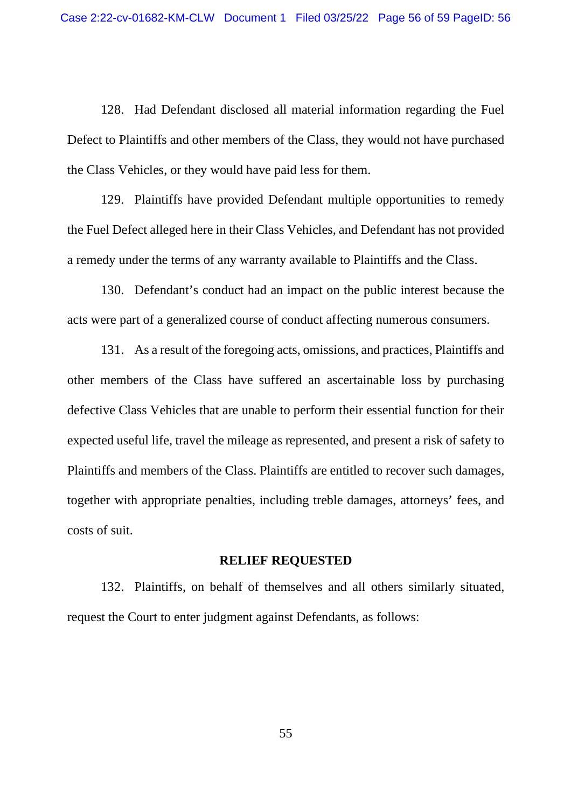128. Had Defendant disclosed all material information regarding the Fuel Defect to Plaintiffs and other members of the Class, they would not have purchased the Class Vehicles, or they would have paid less for them.

129. Plaintiffs have provided Defendant multiple opportunities to remedy the Fuel Defect alleged here in their Class Vehicles, and Defendant has not provided a remedy under the terms of any warranty available to Plaintiffs and the Class.

130. Defendant's conduct had an impact on the public interest because the acts were part of a generalized course of conduct affecting numerous consumers.

131. As a result of the foregoing acts, omissions, and practices, Plaintiffs and other members of the Class have suffered an ascertainable loss by purchasing defective Class Vehicles that are unable to perform their essential function for their expected useful life, travel the mileage as represented, and present a risk of safety to Plaintiffs and members of the Class. Plaintiffs are entitled to recover such damages, together with appropriate penalties, including treble damages, attorneys' fees, and costs of suit.

#### **RELIEF REQUESTED**

132. Plaintiffs, on behalf of themselves and all others similarly situated, request the Court to enter judgment against Defendants, as follows:

55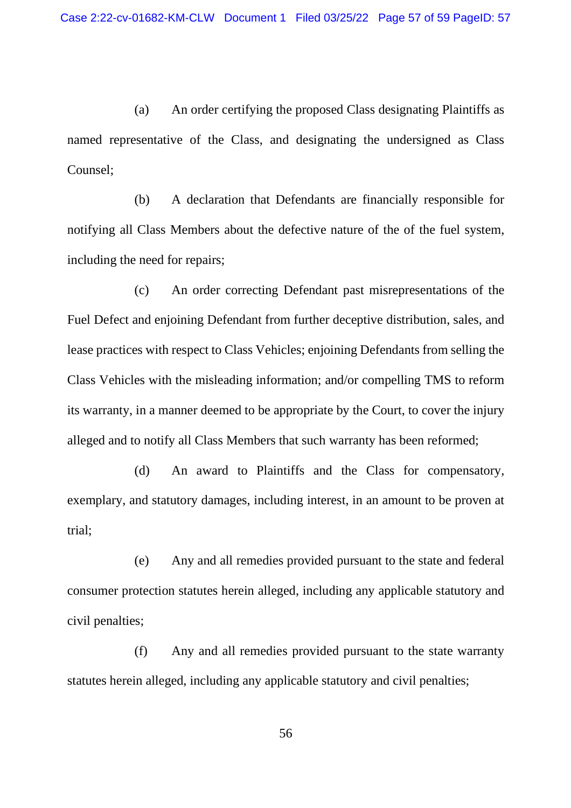(a) An order certifying the proposed Class designating Plaintiffs as named representative of the Class, and designating the undersigned as Class Counsel;

(b) A declaration that Defendants are financially responsible for notifying all Class Members about the defective nature of the of the fuel system, including the need for repairs;

(c) An order correcting Defendant past misrepresentations of the Fuel Defect and enjoining Defendant from further deceptive distribution, sales, and lease practices with respect to Class Vehicles; enjoining Defendants from selling the Class Vehicles with the misleading information; and/or compelling TMS to reform its warranty, in a manner deemed to be appropriate by the Court, to cover the injury alleged and to notify all Class Members that such warranty has been reformed;

(d) An award to Plaintiffs and the Class for compensatory, exemplary, and statutory damages, including interest, in an amount to be proven at trial;

(e) Any and all remedies provided pursuant to the state and federal consumer protection statutes herein alleged, including any applicable statutory and civil penalties;

(f) Any and all remedies provided pursuant to the state warranty statutes herein alleged, including any applicable statutory and civil penalties;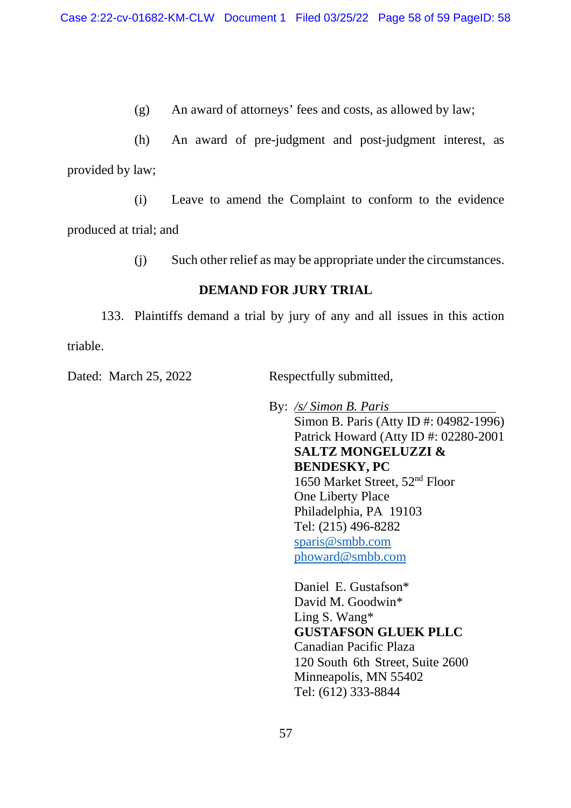(g) An award of attorneys' fees and costs, as allowed by law;

(h) An award of pre-judgment and post-judgment interest, as provided by law;

(i) Leave to amend the Complaint to conform to the evidence

produced at trial; and

(j) Such other relief as may be appropriate under the circumstances.

# **DEMAND FOR JURY TRIAL**

133. Plaintiffs demand a trial by jury of any and all issues in this action triable.

Dated: March 25, 2022 Respectfully submitted,

By: */s/ Simon B. Paris* Simon B. Paris (Atty ID #: 04982-1996) Patrick Howard (Atty ID #: 02280-2001 **SALTZ MONGELUZZI & BENDESKY, PC** 1650 Market Street, 52nd Floor One Liberty Place Philadelphia, PA 19103 Tel: (215) 496-8282 sparis@smbb.com phoward@smbb.com

> Daniel E. Gustafson\* David M. Goodwin\* Ling S. Wang\* **GUSTAFSON GLUEK PLLC** Canadian Pacific Plaza 120 South 6th Street, Suite 2600 Minneapolis, MN 55402 Tel: (612) 333-8844